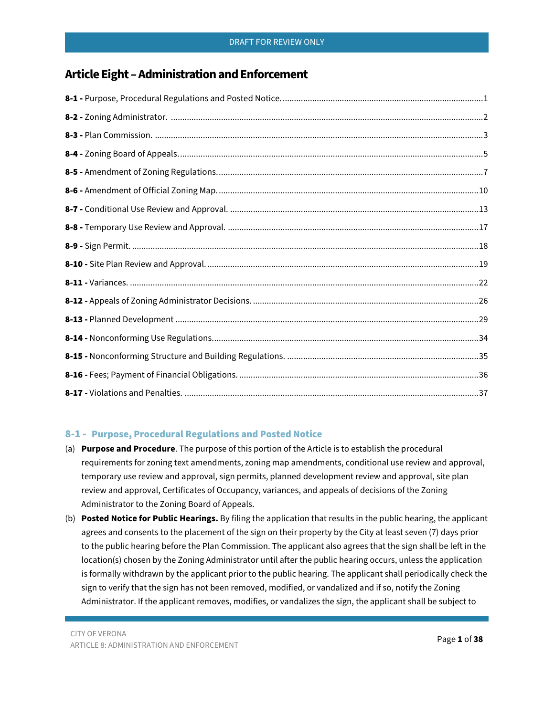# **Article Eight –Administration and Enforcement**

# <span id="page-0-0"></span>8-1 - Purpose, Procedural Regulations and Posted Notice

- (a) **Purpose and Procedure**. The purpose of this portion of the Article is to establish the procedural requirements for zoning text amendments, zoning map amendments, conditional use review and approval, temporary use review and approval, sign permits, planned development review and approval, site plan review and approval, Certificates of Occupancy, variances, and appeals of decisions of the Zoning Administrator to the Zoning Board of Appeals.
- (b) **Posted Notice for Public Hearings.** By filing the application that results in the public hearing, the applicant agrees and consents to the placement of the sign on their property by the City at least seven (7) days prior to the public hearing before the Plan Commission. The applicant also agrees that the sign shall be left in the location(s) chosen by the Zoning Administrator until after the public hearing occurs, unless the application is formally withdrawn by the applicant prior to the public hearing. The applicant shall periodically check the sign to verify that the sign has not been removed, modified, or vandalized and if so, notify the Zoning Administrator. If the applicant removes, modifies, or vandalizes the sign, the applicant shall be subject to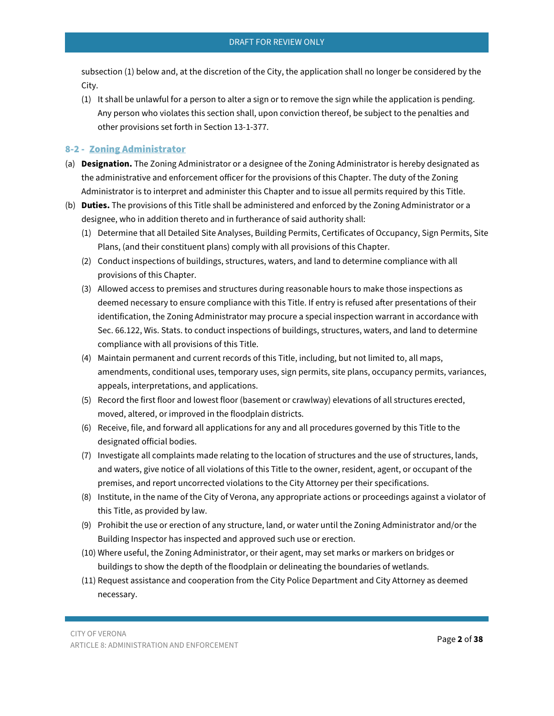subsection (1) below and, at the discretion of the City, the application shall no longer be considered by the City.

(1) It shall be unlawful for a person to alter a sign or to remove the sign while the application is pending. Any person who violates this section shall, upon conviction thereof, be subject to the penalties and other provisions set forth in Section 13-1-377.

# <span id="page-1-0"></span>8-2 - Zoning Administrator

- (a) **Designation.** The Zoning Administrator or a designee of the Zoning Administrator is hereby designated as the administrative and enforcement officer for the provisions of this Chapter. The duty of the Zoning Administrator is to interpret and administer this Chapter and to issue all permits required by this Title.
- (b) **Duties.** The provisions of this Title shall be administered and enforced by the Zoning Administrator or a designee, who in addition thereto and in furtherance of said authority shall:
	- (1) Determine that all Detailed Site Analyses, Building Permits, Certificates of Occupancy, Sign Permits, Site Plans, (and their constituent plans) comply with all provisions of this Chapter.
	- (2) Conduct inspections of buildings, structures, waters, and land to determine compliance with all provisions of this Chapter.
	- (3) Allowed access to premises and structures during reasonable hours to make those inspections as deemed necessary to ensure compliance with this Title. If entry is refused after presentations of their identification, the Zoning Administrator may procure a special inspection warrant in accordance with Sec. 66.122, Wis. Stats. to conduct inspections of buildings, structures, waters, and land to determine compliance with all provisions of this Title.
	- (4) Maintain permanent and current records of this Title, including, but not limited to, all maps, amendments, conditional uses, temporary uses, sign permits, site plans, occupancy permits, variances, appeals, interpretations, and applications.
	- (5) Record the first floor and lowest floor (basement or crawlway) elevations of all structures erected, moved, altered, or improved in the floodplain districts.
	- (6) Receive, file, and forward all applications for any and all procedures governed by this Title to the designated official bodies.
	- (7) Investigate all complaints made relating to the location of structures and the use of structures, lands, and waters, give notice of all violations of this Title to the owner, resident, agent, or occupant of the premises, and report uncorrected violations to the City Attorney per their specifications.
	- (8) Institute, in the name of the City of Verona, any appropriate actions or proceedings against a violator of this Title, as provided by law.
	- (9) Prohibit the use or erection of any structure, land, or water until the Zoning Administrator and/or the Building Inspector has inspected and approved such use or erection.
	- (10) Where useful, the Zoning Administrator, or their agent, may set marks or markers on bridges or buildings to show the depth of the floodplain or delineating the boundaries of wetlands.
	- (11) Request assistance and cooperation from the City Police Department and City Attorney as deemed necessary.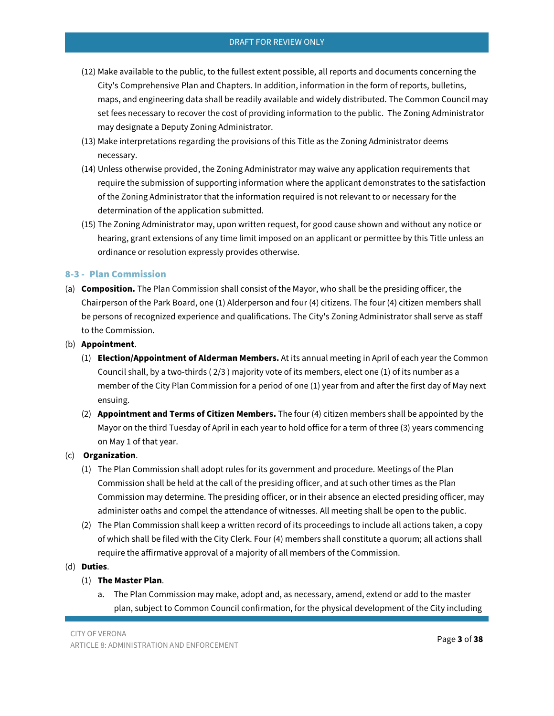- (12) Make available to the public, to the fullest extent possible, all reports and documents concerning the City's Comprehensive Plan and Chapters. In addition, information in the form of reports, bulletins, maps, and engineering data shall be readily available and widely distributed. The Common Council may set fees necessary to recover the cost of providing information to the public. The Zoning Administrator may designate a Deputy Zoning Administrator.
- (13) Make interpretations regarding the provisions of this Title as the Zoning Administrator deems necessary.
- (14) Unless otherwise provided, the Zoning Administrator may waive any application requirements that require the submission of supporting information where the applicant demonstrates to the satisfaction of the Zoning Administrator that the information required is not relevant to or necessary for the determination of the application submitted.
- (15) The Zoning Administrator may, upon written request, for good cause shown and without any notice or hearing, grant extensions of any time limit imposed on an applicant or permittee by this Title unless an ordinance or resolution expressly provides otherwise.

## <span id="page-2-0"></span>8-3 - Plan Commission

- (a) **Composition.** The Plan Commission shall consist of the Mayor, who shall be the presiding officer, the Chairperson of the Park Board, one (1) Alderperson and four (4) citizens. The four (4) citizen members shall be persons of recognized experience and qualifications. The City's Zoning Administrator shall serve as staff to the Commission.
- (b) **Appointment**.
	- (1) **Election/Appointment of Alderman Members.** At its annual meeting in April of each year the Common Council shall, by a two-thirds ( 2/3 ) majority vote of its members, elect one (1) of its number as a member of the City Plan Commission for a period of one (1) year from and after the first day of May next ensuing.
	- (2) **Appointment and Terms of Citizen Members.** The four (4) citizen members shall be appointed by the Mayor on the third Tuesday of April in each year to hold office for a term of three (3) years commencing on May 1 of that year.

## (c) **Organization**.

- (1) The Plan Commission shall adopt rules for its government and procedure. Meetings of the Plan Commission shall be held at the call of the presiding officer, and at such other times as the Plan Commission may determine. The presiding officer, or in their absence an elected presiding officer, may administer oaths and compel the attendance of witnesses. All meeting shall be open to the public.
- (2) The Plan Commission shall keep a written record of its proceedings to include all actions taken, a copy of which shall be filed with the City Clerk. Four (4) members shall constitute a quorum; all actions shall require the affirmative approval of a majority of all members of the Commission.

# (d) **Duties**.

## (1) **The Master Plan**.

a. The Plan Commission may make, adopt and, as necessary, amend, extend or add to the master plan, subject to Common Council confirmation, for the physical development of the City including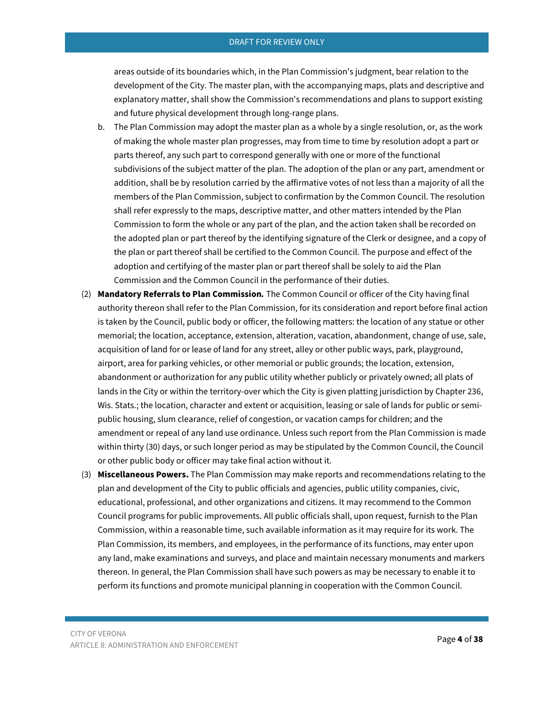areas outside of its boundaries which, in the Plan Commission's judgment, bear relation to the development of the City. The master plan, with the accompanying maps, plats and descriptive and explanatory matter, shall show the Commission's recommendations and plans to support existing and future physical development through long-range plans.

- b. The Plan Commission may adopt the master plan as a whole by a single resolution, or, as the work of making the whole master plan progresses, may from time to time by resolution adopt a part or parts thereof, any such part to correspond generally with one or more of the functional subdivisions of the subject matter of the plan. The adoption of the plan or any part, amendment or addition, shall be by resolution carried by the affirmative votes of not less than a majority of all the members of the Plan Commission, subject to confirmation by the Common Council. The resolution shall refer expressly to the maps, descriptive matter, and other matters intended by the Plan Commission to form the whole or any part of the plan, and the action taken shall be recorded on the adopted plan or part thereof by the identifying signature of the Clerk or designee, and a copy of the plan or part thereof shall be certified to the Common Council. The purpose and effect of the adoption and certifying of the master plan or part thereof shall be solely to aid the Plan Commission and the Common Council in the performance of their duties.
- (2) **Mandatory Referrals to Plan Commission***.* The Common Council or officer of the City having final authority thereon shall refer to the Plan Commission, for its consideration and report before final action is taken by the Council, public body or officer, the following matters: the location of any statue or other memorial; the location, acceptance, extension, alteration, vacation, abandonment, change of use, sale, acquisition of land for or lease of land for any street, alley or other public ways, park, playground, airport, area for parking vehicles, or other memorial or public grounds; the location, extension, abandonment or authorization for any public utility whether publicly or privately owned; all plats of lands in the City or within the territory-over which the City is given platting jurisdiction by Chapter 236, Wis. Stats.; the location, character and extent or acquisition, leasing or sale of lands for public or semipublic housing, slum clearance, relief of congestion, or vacation camps for children; and the amendment or repeal of any land use ordinance. Unless such report from the Plan Commission is made within thirty (30) days, or such longer period as may be stipulated by the Common Council, the Council or other public body or officer may take final action without it.
- (3) **Miscellaneous Powers.** The Plan Commission may make reports and recommendations relating to the plan and development of the City to public officials and agencies, public utility companies, civic, educational, professional, and other organizations and citizens. It may recommend to the Common Council programs for public improvements. All public officials shall, upon request, furnish to the Plan Commission, within a reasonable time, such available information as it may require for its work. The Plan Commission, its members, and employees, in the performance of its functions, may enter upon any land, make examinations and surveys, and place and maintain necessary monuments and markers thereon. In general, the Plan Commission shall have such powers as may be necessary to enable it to perform its functions and promote municipal planning in cooperation with the Common Council.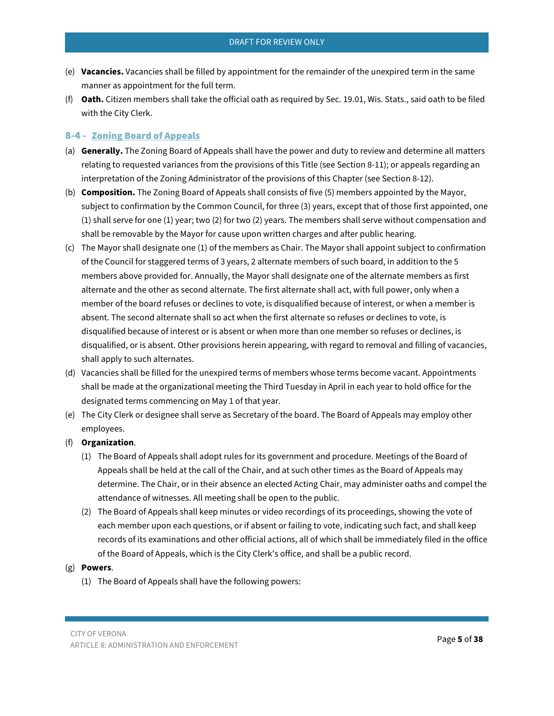- (e) **Vacancies.** Vacancies shall be filled by appointment for the remainder of the unexpired term in the same manner as appointment for the full term.
- (f) **Oath.** Citizen members shall take the official oath as required by Sec. 19.01, Wis. Stats., said oath to be filed with the City Clerk.

## <span id="page-4-0"></span>8-4 - Zoning Board of Appeals

- (a) **Generally.** The Zoning Board of Appeals shall have the power and duty to review and determine all matters relating to requested variances from the provisions of this Title (see Section 8-11); or appeals regarding an interpretation of the Zoning Administrator of the provisions of this Chapter (see Section 8-12).
- (b) **Composition.** The Zoning Board of Appeals shall consists of five (5) members appointed by the Mayor, subject to confirmation by the Common Council, for three (3) years, except that of those first appointed, one (1) shall serve for one (1) year; two (2) for two (2) years. The members shall serve without compensation and shall be removable by the Mayor for cause upon written charges and after public hearing.
- (c) The Mayor shall designate one (1) of the members as Chair. The Mayor shall appoint subject to confirmation of the Council for staggered terms of 3 years, 2 alternate members of such board, in addition to the 5 members above provided for. Annually, the Mayor shall designate one of the alternate members as first alternate and the other as second alternate. The first alternate shall act, with full power, only when a member of the board refuses or declines to vote, is disqualified because of interest, or when a member is absent. The second alternate shall so act when the first alternate so refuses or declines to vote, is disqualified because of interest or is absent or when more than one member so refuses or declines, is disqualified, or is absent. Other provisions herein appearing, with regard to removal and filling of vacancies, shall apply to such alternates.
- (d) Vacancies shall be filled for the unexpired terms of members whose terms become vacant. Appointments shall be made at the organizational meeting the Third Tuesday in April in each year to hold office for the designated terms commencing on May 1 of that year.
- (e) The City Clerk or designee shall serve as Secretary of the board. The Board of Appeals may employ other employees.
- (f) **Organization**.
	- (1) The Board of Appeals shall adopt rules for its government and procedure. Meetings of the Board of Appeals shall be held at the call of the Chair, and at such other times as the Board of Appeals may determine. The Chair, or in their absence an elected Acting Chair, may administer oaths and compel the attendance of witnesses. All meeting shall be open to the public.
	- (2) The Board of Appeals shall keep minutes or video recordings of its proceedings, showing the vote of each member upon each questions, or if absent or failing to vote, indicating such fact, and shall keep records of its examinations and other official actions, all of which shall be immediately filed in the office of the Board of Appeals, which is the City Clerk's office, and shall be a public record.

## (g) **Powers**.

(1) The Board of Appeals shall have the following powers: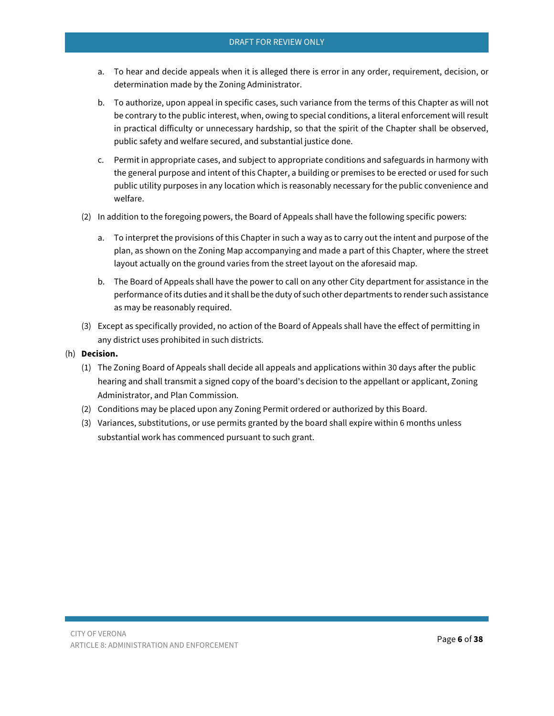- a. To hear and decide appeals when it is alleged there is error in any order, requirement, decision, or determination made by the Zoning Administrator.
- b. To authorize, upon appeal in specific cases, such variance from the terms of this Chapter as will not be contrary to the public interest, when, owing to special conditions, a literal enforcement will result in practical difficulty or unnecessary hardship, so that the spirit of the Chapter shall be observed, public safety and welfare secured, and substantial justice done.
- c. Permit in appropriate cases, and subject to appropriate conditions and safeguards in harmony with the general purpose and intent of this Chapter, a building or premises to be erected or used for such public utility purposes in any location which is reasonably necessary for the public convenience and welfare.
- (2) In addition to the foregoing powers, the Board of Appeals shall have the following specific powers:
	- a. To interpret the provisions of this Chapter in such a way as to carry out the intent and purpose of the plan, as shown on the Zoning Map accompanying and made a part of this Chapter, where the street layout actually on the ground varies from the street layout on the aforesaid map.
	- b. The Board of Appeals shall have the power to call on any other City department for assistance in the performance of its duties and it shall be the duty of such other departments to render such assistance as may be reasonably required.
- (3) Except as specifically provided, no action of the Board of Appeals shall have the effect of permitting in any district uses prohibited in such districts.
- <span id="page-5-0"></span>(h) **Decision.**
	- (1) The Zoning Board of Appeals shall decide all appeals and applications within 30 days after the public hearing and shall transmit a signed copy of the board's decision to the appellant or applicant, Zoning Administrator, and Plan Commission.
	- (2) Conditions may be placed upon any Zoning Permit ordered or authorized by this Board.
	- (3) Variances, substitutions, or use permits granted by the board shall expire within 6 months unless substantial work has commenced pursuant to such grant.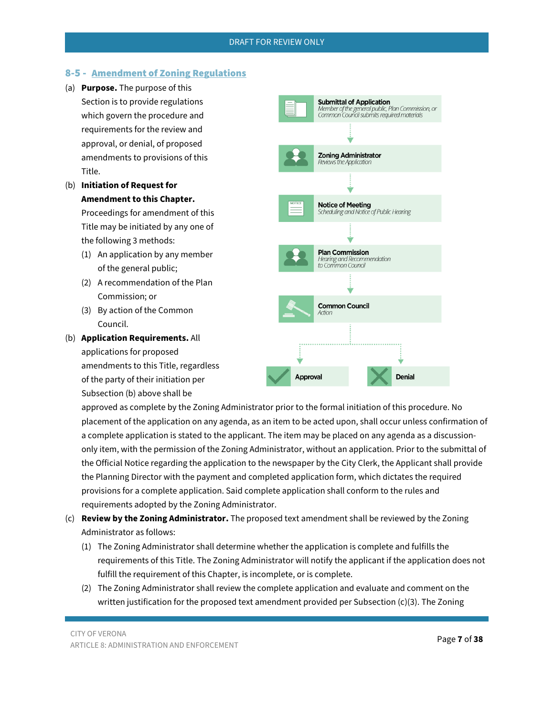## 8-5 - Amendment of Zoning Regulations

- (a) **Purpose.** The purpose of this Section is to provide regulations which govern the procedure and requirements for the review and approval, or denial, of proposed amendments to provisions of this Title.
- (b) **Initiation of Request for Amendment to this Chapter.**

Proceedings for amendment of this Title may be initiated by any one of the following 3 methods:

- (1) An application by any member of the general public;
- (2) A recommendation of the Plan Commission; or
- (3) By action of the Common Council.
- (b) **Application Requirements.** All applications for proposed amendments to this Title, regardless of the party of their initiation per Subsection (b) above shall be



approved as complete by the Zoning Administrator prior to the formal initiation of this procedure. No placement of the application on any agenda, as an item to be acted upon, shall occur unless confirmation of a complete application is stated to the applicant. The item may be placed on any agenda as a discussiononly item, with the permission of the Zoning Administrator, without an application. Prior to the submittal of the Official Notice regarding the application to the newspaper by the City Clerk, the Applicant shall provide the Planning Director with the payment and completed application form, which dictates the required provisions for a complete application. Said complete application shall conform to the rules and requirements adopted by the Zoning Administrator.

- (c) **Review by the Zoning Administrator.** The proposed text amendment shall be reviewed by the Zoning Administrator as follows:
	- (1) The Zoning Administrator shall determine whether the application is complete and fulfills the requirements of this Title. The Zoning Administrator will notify the applicant if the application does not fulfill the requirement of this Chapter, is incomplete, or is complete.
	- (2) The Zoning Administrator shall review the complete application and evaluate and comment on the written justification for the proposed text amendment provided per Subsection (c)(3). The Zoning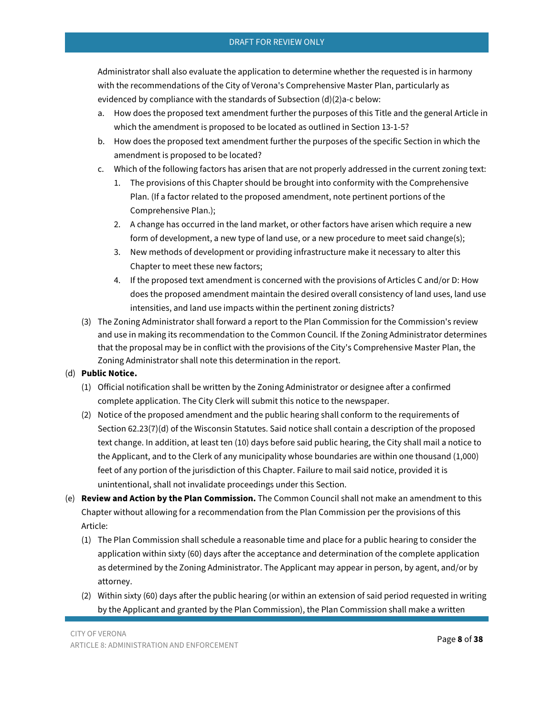Administrator shall also evaluate the application to determine whether the requested is in harmony with the recommendations of the City of Verona's Comprehensive Master Plan, particularly as evidenced by compliance with the standards of Subsection (d)(2)a-c below:

- a. How does the proposed text amendment further the purposes of this Title and the general Article in which the amendment is proposed to be located as outlined in Section 13-1-5?
- b. How does the proposed text amendment further the purposes of the specific Section in which the amendment is proposed to be located?
- c. Which of the following factors has arisen that are not properly addressed in the current zoning text:
	- 1. The provisions of this Chapter should be brought into conformity with the Comprehensive Plan. (If a factor related to the proposed amendment, note pertinent portions of the Comprehensive Plan.);
	- 2. A change has occurred in the land market, or other factors have arisen which require a new form of development, a new type of land use, or a new procedure to meet said change(s);
	- 3. New methods of development or providing infrastructure make it necessary to alter this Chapter to meet these new factors;
	- 4. If the proposed text amendment is concerned with the provisions of Articles C and/or D: How does the proposed amendment maintain the desired overall consistency of land uses, land use intensities, and land use impacts within the pertinent zoning districts?
- (3) The Zoning Administrator shall forward a report to the Plan Commission for the Commission's review and use in making its recommendation to the Common Council. If the Zoning Administrator determines that the proposal may be in conflict with the provisions of the City's Comprehensive Master Plan, the Zoning Administrator shall note this determination in the report.

# (d) **Public Notice.**

- (1) Official notification shall be written by the Zoning Administrator or designee after a confirmed complete application. The City Clerk will submit this notice to the newspaper.
- (2) Notice of the proposed amendment and the public hearing shall conform to the requirements of Section 62.23(7)(d) of the Wisconsin Statutes. Said notice shall contain a description of the proposed text change. In addition, at least ten (10) days before said public hearing, the City shall mail a notice to the Applicant, and to the Clerk of any municipality whose boundaries are within one thousand (1,000) feet of any portion of the jurisdiction of this Chapter. Failure to mail said notice, provided it is unintentional, shall not invalidate proceedings under this Section.
- (e) **Review and Action by the Plan Commission.** The Common Council shall not make an amendment to this Chapter without allowing for a recommendation from the Plan Commission per the provisions of this Article:
	- (1) The Plan Commission shall schedule a reasonable time and place for a public hearing to consider the application within sixty (60) days after the acceptance and determination of the complete application as determined by the Zoning Administrator. The Applicant may appear in person, by agent, and/or by attorney.
	- (2) Within sixty (60) days after the public hearing (or within an extension of said period requested in writing by the Applicant and granted by the Plan Commission), the Plan Commission shall make a written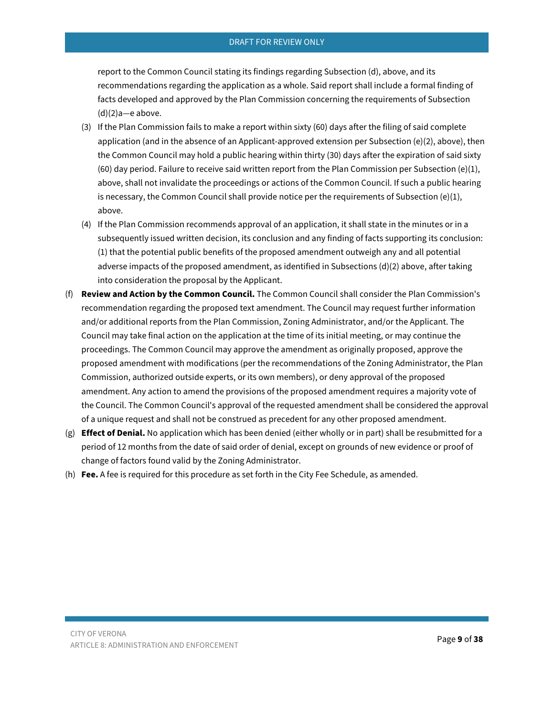report to the Common Council stating its findings regarding Subsection (d), above, and its recommendations regarding the application as a whole. Said report shall include a formal finding of facts developed and approved by the Plan Commission concerning the requirements of Subsection  $(d)(2)a$ —e above.

- (3) If the Plan Commission fails to make a report within sixty (60) days after the filing of said complete application (and in the absence of an Applicant-approved extension per Subsection (e)(2), above), then the Common Council may hold a public hearing within thirty (30) days after the expiration of said sixty (60) day period. Failure to receive said written report from the Plan Commission per Subsection (e)(1), above, shall not invalidate the proceedings or actions of the Common Council. If such a public hearing is necessary, the Common Council shall provide notice per the requirements of Subsection (e)(1), above.
- (4) If the Plan Commission recommends approval of an application, it shall state in the minutes or in a subsequently issued written decision, its conclusion and any finding of facts supporting its conclusion: (1) that the potential public benefits of the proposed amendment outweigh any and all potential adverse impacts of the proposed amendment, as identified in Subsections (d)(2) above, after taking into consideration the proposal by the Applicant.
- (f) **Review and Action by the Common Council.** The Common Council shall consider the Plan Commission's recommendation regarding the proposed text amendment. The Council may request further information and/or additional reports from the Plan Commission, Zoning Administrator, and/or the Applicant. The Council may take final action on the application at the time of its initial meeting, or may continue the proceedings. The Common Council may approve the amendment as originally proposed, approve the proposed amendment with modifications (per the recommendations of the Zoning Administrator, the Plan Commission, authorized outside experts, or its own members), or deny approval of the proposed amendment. Any action to amend the provisions of the proposed amendment requires a majority vote of the Council. The Common Council's approval of the requested amendment shall be considered the approval of a unique request and shall not be construed as precedent for any other proposed amendment.
- (g) **Effect of Denial.** No application which has been denied (either wholly or in part) shall be resubmitted for a period of 12 months from the date of said order of denial, except on grounds of new evidence or proof of change of factors found valid by the Zoning Administrator.
- <span id="page-8-0"></span>(h) **Fee.** A fee is required for this procedure as set forth in the City Fee Schedule, as amended.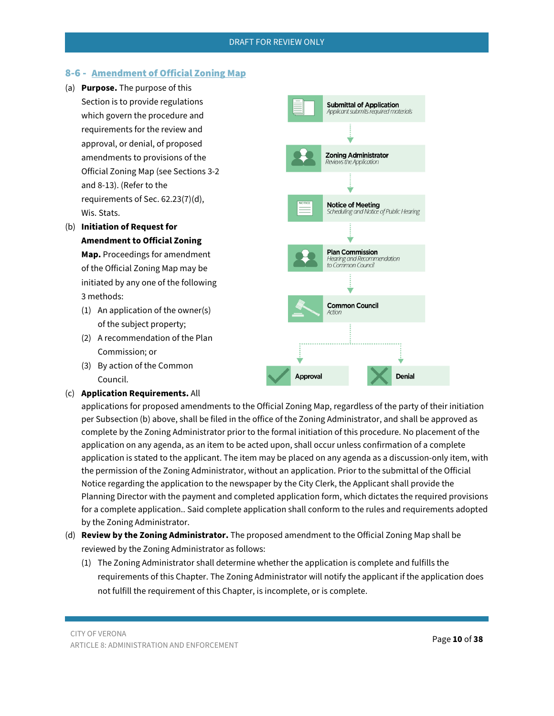**Submittal of Application** Applicant submits required materials

**Zoning Administrator** Reviews the Application

**Notice of Meeting** 

**Plan Commission** Hearing and Recommendation<br>to Common Council

**Common Council** 

**Notice of Heeting**<br>Scheduling and Notice of Public Hearing

**Denial** 

# 8-6 - Amendment of Official Zoning Map

- (a) **Purpose.** The purpose of this Section is to provide regulations which govern the procedure and requirements for the review and approval, or denial, of proposed amendments to provisions of the Official Zoning Map (see Sections 3-2 and 8-13). (Refer to the requirements of Sec. 62.23(7)(d), Wis. Stats.
- (b) **Initiation of Request for Amendment to Official Zoning Map.** Proceedings for amendment of the Official Zoning Map may be initiated by any one of the following

# 3 methods:

- (1) An application of the owner(s) of the subject property;
- (2) A recommendation of the Plan Commission; or
- (3) By action of the Common Council.
- (c) **Application Requirements.** All

applications for proposed amendments to the Official Zoning Map, regardless of the party of their initiation per Subsection (b) above, shall be filed in the office of the Zoning Administrator, and shall be approved as complete by the Zoning Administrator prior to the formal initiation of this procedure. No placement of the application on any agenda, as an item to be acted upon, shall occur unless confirmation of a complete application is stated to the applicant. The item may be placed on any agenda as a discussion-only item, with the permission of the Zoning Administrator, without an application. Prior to the submittal of the Official Notice regarding the application to the newspaper by the City Clerk, the Applicant shall provide the Planning Director with the payment and completed application form, which dictates the required provisions for a complete application.. Said complete application shall conform to the rules and requirements adopted by the Zoning Administrator.

**Approval** 

- (d) **Review by the Zoning Administrator.** The proposed amendment to the Official Zoning Map shall be reviewed by the Zoning Administrator as follows:
	- (1) The Zoning Administrator shall determine whether the application is complete and fulfills the requirements of this Chapter. The Zoning Administrator will notify the applicant if the application does not fulfill the requirement of this Chapter, is incomplete, or is complete.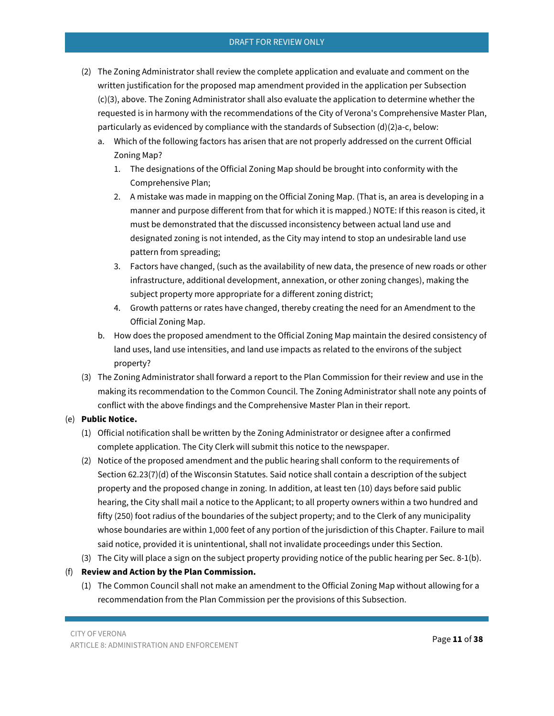- (2) The Zoning Administrator shall review the complete application and evaluate and comment on the written justification for the proposed map amendment provided in the application per Subsection (c)(3), above. The Zoning Administrator shall also evaluate the application to determine whether the requested is in harmony with the recommendations of the City of Verona's Comprehensive Master Plan, particularly as evidenced by compliance with the standards of Subsection (d)(2)a-c, below:
	- a. Which of the following factors has arisen that are not properly addressed on the current Official Zoning Map?
		- 1. The designations of the Official Zoning Map should be brought into conformity with the Comprehensive Plan;
		- 2. A mistake was made in mapping on the Official Zoning Map. (That is, an area is developing in a manner and purpose different from that for which it is mapped.) NOTE: If this reason is cited, it must be demonstrated that the discussed inconsistency between actual land use and designated zoning is not intended, as the City may intend to stop an undesirable land use pattern from spreading;
		- 3. Factors have changed, (such as the availability of new data, the presence of new roads or other infrastructure, additional development, annexation, or other zoning changes), making the subject property more appropriate for a different zoning district;
		- 4. Growth patterns or rates have changed, thereby creating the need for an Amendment to the Official Zoning Map.
	- b. How does the proposed amendment to the Official Zoning Map maintain the desired consistency of land uses, land use intensities, and land use impacts as related to the environs of the subject property?
- (3) The Zoning Administrator shall forward a report to the Plan Commission for their review and use in the making its recommendation to the Common Council. The Zoning Administrator shall note any points of conflict with the above findings and the Comprehensive Master Plan in their report.

# (e) **Public Notice.**

- (1) Official notification shall be written by the Zoning Administrator or designee after a confirmed complete application. The City Clerk will submit this notice to the newspaper.
- (2) Notice of the proposed amendment and the public hearing shall conform to the requirements of Section 62.23(7)(d) of the Wisconsin Statutes. Said notice shall contain a description of the subject property and the proposed change in zoning. In addition, at least ten (10) days before said public hearing, the City shall mail a notice to the Applicant; to all property owners within a two hundred and fifty (250) foot radius of the boundaries of the subject property; and to the Clerk of any municipality whose boundaries are within 1,000 feet of any portion of the jurisdiction of this Chapter. Failure to mail said notice, provided it is unintentional, shall not invalidate proceedings under this Section.
- (3) The City will place a sign on the subject property providing notice of the public hearing per Sec. 8-1(b).

# (f) **Review and Action by the Plan Commission.**

(1) The Common Council shall not make an amendment to the Official Zoning Map without allowing for a recommendation from the Plan Commission per the provisions of this Subsection.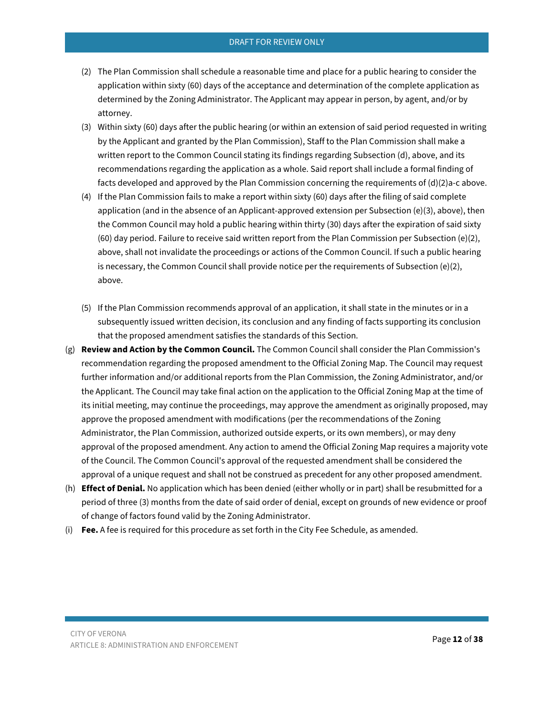- (2) The Plan Commission shall schedule a reasonable time and place for a public hearing to consider the application within sixty (60) days of the acceptance and determination of the complete application as determined by the Zoning Administrator. The Applicant may appear in person, by agent, and/or by attorney.
- (3) Within sixty (60) days after the public hearing (or within an extension of said period requested in writing by the Applicant and granted by the Plan Commission), Staff to the Plan Commission shall make a written report to the Common Council stating its findings regarding Subsection (d), above, and its recommendations regarding the application as a whole. Said report shall include a formal finding of facts developed and approved by the Plan Commission concerning the requirements of (d)(2)a-c above.
- (4) If the Plan Commission fails to make a report within sixty (60) days after the filing of said complete application (and in the absence of an Applicant-approved extension per Subsection (e)(3), above), then the Common Council may hold a public hearing within thirty (30) days after the expiration of said sixty (60) day period. Failure to receive said written report from the Plan Commission per Subsection (e)(2), above, shall not invalidate the proceedings or actions of the Common Council. If such a public hearing is necessary, the Common Council shall provide notice per the requirements of Subsection (e)(2), above.
- (5) If the Plan Commission recommends approval of an application, it shall state in the minutes or in a subsequently issued written decision, its conclusion and any finding of facts supporting its conclusion that the proposed amendment satisfies the standards of this Section.
- (g) **Review and Action by the Common Council.** The Common Council shall consider the Plan Commission's recommendation regarding the proposed amendment to the Official Zoning Map. The Council may request further information and/or additional reports from the Plan Commission, the Zoning Administrator, and/or the Applicant. The Council may take final action on the application to the Official Zoning Map at the time of its initial meeting, may continue the proceedings, may approve the amendment as originally proposed, may approve the proposed amendment with modifications (per the recommendations of the Zoning Administrator, the Plan Commission, authorized outside experts, or its own members), or may deny approval of the proposed amendment. Any action to amend the Official Zoning Map requires a majority vote of the Council. The Common Council's approval of the requested amendment shall be considered the approval of a unique request and shall not be construed as precedent for any other proposed amendment.
- (h) **Effect of Denial.** No application which has been denied (either wholly or in part) shall be resubmitted for a period of three (3) months from the date of said order of denial, except on grounds of new evidence or proof of change of factors found valid by the Zoning Administrator.
- <span id="page-11-0"></span>(i) **Fee.** A fee is required for this procedure as set forth in the City Fee Schedule, as amended.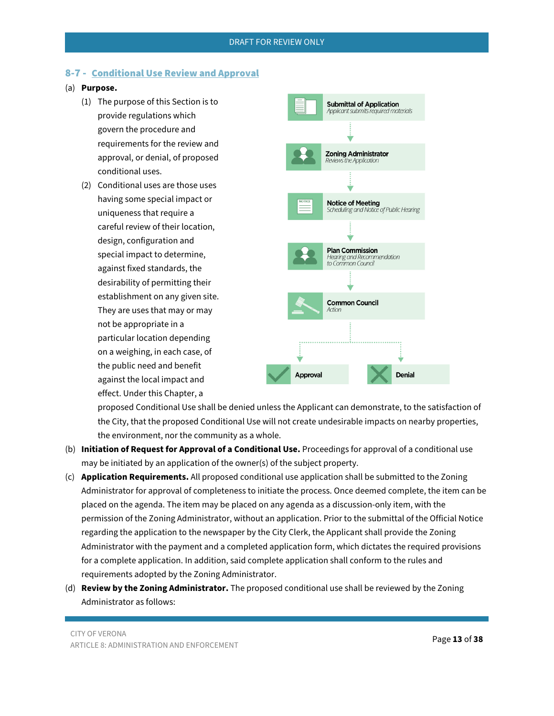# 8-7 - Conditional Use Review and Approval

## (a) **Purpose.**

- (1) The purpose of this Section is to provide regulations which govern the procedure and requirements for the review and approval, or denial, of proposed conditional uses.
- (2) Conditional uses are those uses having some special impact or uniqueness that require a careful review of their location, design, configuration and special impact to determine, against fixed standards, the desirability of permitting their establishment on any given site. They are uses that may or may not be appropriate in a particular location depending on a weighing, in each case, of the public need and benefit against the local impact and effect. Under this Chapter, a



proposed Conditional Use shall be denied unless the Applicant can demonstrate, to the satisfaction of the City, that the proposed Conditional Use will not create undesirable impacts on nearby properties, the environment, nor the community as a whole.

- (b) **Initiation of Request for Approval of a Conditional Use.** Proceedings for approval of a conditional use may be initiated by an application of the owner(s) of the subject property.
- (c) **Application Requirements.** All proposed conditional use application shall be submitted to the Zoning Administrator for approval of completeness to initiate the process. Once deemed complete, the item can be placed on the agenda. The item may be placed on any agenda as a discussion-only item, with the permission of the Zoning Administrator, without an application. Prior to the submittal of the Official Notice regarding the application to the newspaper by the City Clerk, the Applicant shall provide the Zoning Administrator with the payment and a completed application form, which dictates the required provisions for a complete application. In addition, said complete application shall conform to the rules and requirements adopted by the Zoning Administrator.
- (d) **Review by the Zoning Administrator.** The proposed conditional use shall be reviewed by the Zoning Administrator as follows: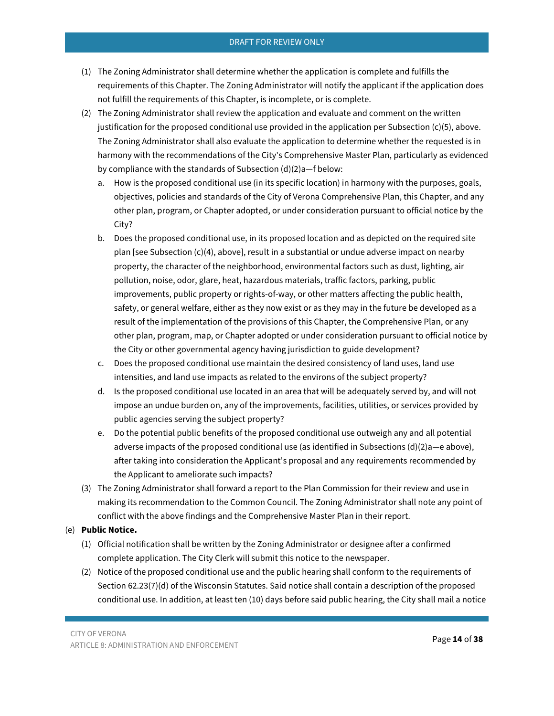- (1) The Zoning Administrator shall determine whether the application is complete and fulfills the requirements of this Chapter. The Zoning Administrator will notify the applicant if the application does not fulfill the requirements of this Chapter, is incomplete, or is complete.
- (2) The Zoning Administrator shall review the application and evaluate and comment on the written justification for the proposed conditional use provided in the application per Subsection  $(c)(5)$ , above. The Zoning Administrator shall also evaluate the application to determine whether the requested is in harmony with the recommendations of the City's Comprehensive Master Plan, particularly as evidenced by compliance with the standards of Subsection (d)(2)a—f below:
	- a. How is the proposed conditional use (in its specific location) in harmony with the purposes, goals, objectives, policies and standards of the City of Verona Comprehensive Plan, this Chapter, and any other plan, program, or Chapter adopted, or under consideration pursuant to official notice by the City?
	- b. Does the proposed conditional use, in its proposed location and as depicted on the required site plan [see Subsection (c)(4), above], result in a substantial or undue adverse impact on nearby property, the character of the neighborhood, environmental factors such as dust, lighting, air pollution, noise, odor, glare, heat, hazardous materials, traffic factors, parking, public improvements, public property or rights-of-way, or other matters affecting the public health, safety, or general welfare, either as they now exist or as they may in the future be developed as a result of the implementation of the provisions of this Chapter, the Comprehensive Plan, or any other plan, program, map, or Chapter adopted or under consideration pursuant to official notice by the City or other governmental agency having jurisdiction to guide development?
	- c. Does the proposed conditional use maintain the desired consistency of land uses, land use intensities, and land use impacts as related to the environs of the subject property?
	- d. Is the proposed conditional use located in an area that will be adequately served by, and will not impose an undue burden on, any of the improvements, facilities, utilities, or services provided by public agencies serving the subject property?
	- e. Do the potential public benefits of the proposed conditional use outweigh any and all potential adverse impacts of the proposed conditional use (as identified in Subsections  $(d)(2)a$ —e above), after taking into consideration the Applicant's proposal and any requirements recommended by the Applicant to ameliorate such impacts?
- (3) The Zoning Administrator shall forward a report to the Plan Commission for their review and use in making its recommendation to the Common Council. The Zoning Administrator shall note any point of conflict with the above findings and the Comprehensive Master Plan in their report.

## (e) **Public Notice.**

- (1) Official notification shall be written by the Zoning Administrator or designee after a confirmed complete application. The City Clerk will submit this notice to the newspaper.
- (2) Notice of the proposed conditional use and the public hearing shall conform to the requirements of Section 62.23(7)(d) of the Wisconsin Statutes. Said notice shall contain a description of the proposed conditional use. In addition, at least ten (10) days before said public hearing, the City shall mail a notice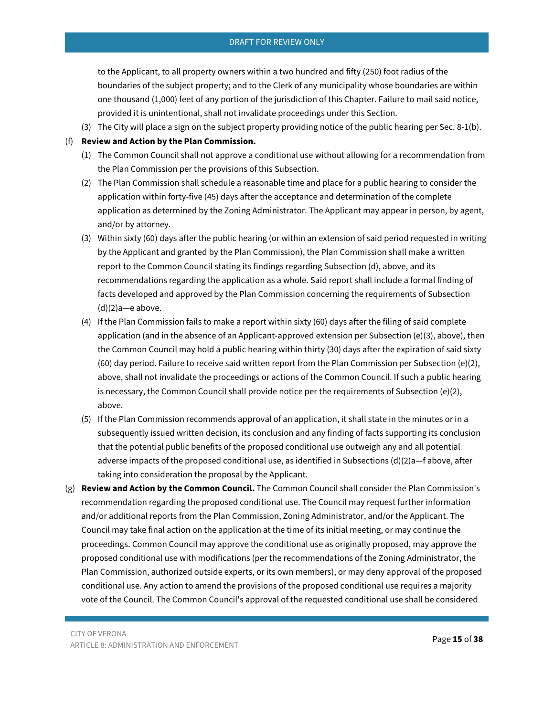to the Applicant, to all property owners within a two hundred and fifty (250) foot radius of the boundaries of the subject property; and to the Clerk of any municipality whose boundaries are within one thousand (1,000) feet of any portion of the jurisdiction of this Chapter. Failure to mail said notice, provided it is unintentional, shall not invalidate proceedings under this Section.

(3) The City will place a sign on the subject property providing notice of the public hearing per Sec. 8-1(b).

## (f) **Review and Action by the Plan Commission.**

- (1) The Common Council shall not approve a conditional use without allowing for a recommendation from the Plan Commission per the provisions of this Subsection.
- (2) The Plan Commission shall schedule a reasonable time and place for a public hearing to consider the application within forty-five (45) days after the acceptance and determination of the complete application as determined by the Zoning Administrator. The Applicant may appear in person, by agent, and/or by attorney.
- (3) Within sixty (60) days after the public hearing (or within an extension of said period requested in writing by the Applicant and granted by the Plan Commission), the Plan Commission shall make a written report to the Common Council stating its findings regarding Subsection (d), above, and its recommendations regarding the application as a whole. Said report shall include a formal finding of facts developed and approved by the Plan Commission concerning the requirements of Subsection  $(d)(2)a$ —e above.
- (4) If the Plan Commission fails to make a report within sixty (60) days after the filing of said complete application (and in the absence of an Applicant-approved extension per Subsection (e)(3), above), then the Common Council may hold a public hearing within thirty (30) days after the expiration of said sixty (60) day period. Failure to receive said written report from the Plan Commission per Subsection (e)(2), above, shall not invalidate the proceedings or actions of the Common Council. If such a public hearing is necessary, the Common Council shall provide notice per the requirements of Subsection (e)(2), above.
- (5) If the Plan Commission recommends approval of an application, it shall state in the minutes or in a subsequently issued written decision, its conclusion and any finding of facts supporting its conclusion that the potential public benefits of the proposed conditional use outweigh any and all potential adverse impacts of the proposed conditional use, as identified in Subsections (d)(2)a—f above, after taking into consideration the proposal by the Applicant.
- (g) **Review and Action by the Common Council.** The Common Council shall consider the Plan Commission's recommendation regarding the proposed conditional use. The Council may request further information and/or additional reports from the Plan Commission, Zoning Administrator, and/or the Applicant. The Council may take final action on the application at the time of its initial meeting, or may continue the proceedings. Common Council may approve the conditional use as originally proposed, may approve the proposed conditional use with modifications (per the recommendations of the Zoning Administrator, the Plan Commission, authorized outside experts, or its own members), or may deny approval of the proposed conditional use. Any action to amend the provisions of the proposed conditional use requires a majority vote of the Council. The Common Council's approval of the requested conditional use shall be considered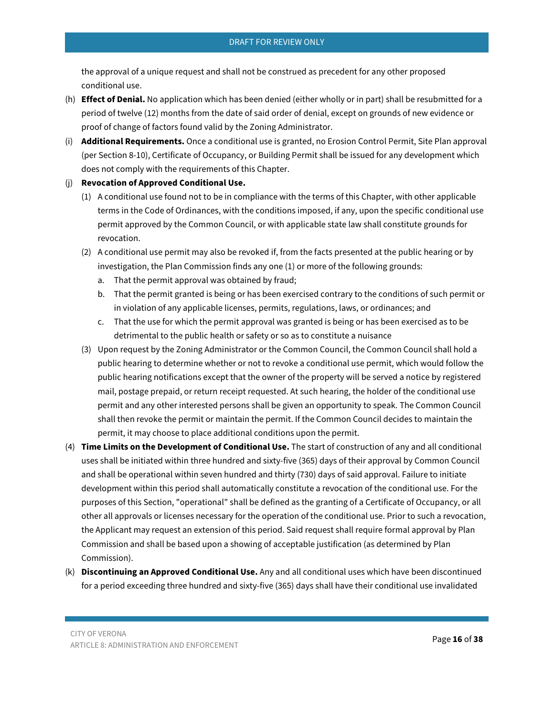the approval of a unique request and shall not be construed as precedent for any other proposed conditional use.

- (h) **Effect of Denial.** No application which has been denied (either wholly or in part) shall be resubmitted for a period of twelve (12) months from the date of said order of denial, except on grounds of new evidence or proof of change of factors found valid by the Zoning Administrator.
- (i) **Additional Requirements.** Once a conditional use is granted, no Erosion Control Permit, Site Plan approval (per Section 8-10), Certificate of Occupancy, or Building Permit shall be issued for any development which does not comply with the requirements of this Chapter.

#### (j) **Revocation of Approved Conditional Use.**

- (1) A conditional use found not to be in compliance with the terms of this Chapter, with other applicable terms in the Code of Ordinances, with the conditions imposed, if any, upon the specific conditional use permit approved by the Common Council, or with applicable state law shall constitute grounds for revocation.
- (2) A conditional use permit may also be revoked if, from the facts presented at the public hearing or by investigation, the Plan Commission finds any one (1) or more of the following grounds:
	- a. That the permit approval was obtained by fraud;
	- b. That the permit granted is being or has been exercised contrary to the conditions of such permit or in violation of any applicable licenses, permits, regulations, laws, or ordinances; and
	- c. That the use for which the permit approval was granted is being or has been exercised as to be detrimental to the public health or safety or so as to constitute a nuisance
- (3) Upon request by the Zoning Administrator or the Common Council, the Common Council shall hold a public hearing to determine whether or not to revoke a conditional use permit, which would follow the public hearing notifications except that the owner of the property will be served a notice by registered mail, postage prepaid, or return receipt requested. At such hearing, the holder of the conditional use permit and any other interested persons shall be given an opportunity to speak. The Common Council shall then revoke the permit or maintain the permit. If the Common Council decides to maintain the permit, it may choose to place additional conditions upon the permit.
- (4) **Time Limits on the Development of Conditional Use.** The start of construction of any and all conditional uses shall be initiated within three hundred and sixty-five (365) days of their approval by Common Council and shall be operational within seven hundred and thirty (730) days of said approval. Failure to initiate development within this period shall automatically constitute a revocation of the conditional use. For the purposes of this Section, "operational" shall be defined as the granting of a Certificate of Occupancy, or all other all approvals or licenses necessary for the operation of the conditional use. Prior to such a revocation, the Applicant may request an extension of this period. Said request shall require formal approval by Plan Commission and shall be based upon a showing of acceptable justification (as determined by Plan Commission).
- (k) **Discontinuing an Approved Conditional Use.** Any and all conditional uses which have been discontinued for a period exceeding three hundred and sixty-five (365) days shall have their conditional use invalidated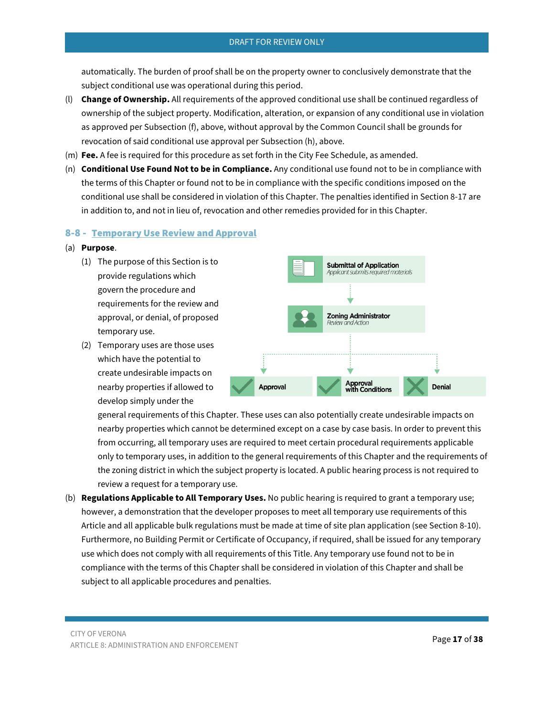automatically. The burden of proof shall be on the property owner to conclusively demonstrate that the subject conditional use was operational during this period.

- (l) **Change of Ownership.** All requirements of the approved conditional use shall be continued regardless of ownership of the subject property. Modification, alteration, or expansion of any conditional use in violation as approved per Subsection (f), above, without approval by the Common Council shall be grounds for revocation of said conditional use approval per Subsection (h), above.
- (m) **Fee.** A fee is required for this procedure as set forth in the City Fee Schedule, as amended.
- (n) **Conditional Use Found Not to be in Compliance.** Any conditional use found not to be in compliance with the terms of this Chapter or found not to be in compliance with the specific conditions imposed on the conditional use shall be considered in violation of this Chapter. The penalties identified in Section 8-17 are in addition to, and not in lieu of, revocation and other remedies provided for in this Chapter.

## <span id="page-16-0"></span>8-8 - Temporary Use Review and Approval

#### (a) **Purpose**.

- (1) The purpose of this Section is to provide regulations which govern the procedure and requirements for the review and approval, or denial, of proposed temporary use.
- (2) Temporary uses are those uses which have the potential to create undesirable impacts on nearby properties if allowed to develop simply under the



general requirements of this Chapter. These uses can also potentially create undesirable impacts on nearby properties which cannot be determined except on a case by case basis. In order to prevent this from occurring, all temporary uses are required to meet certain procedural requirements applicable only to temporary uses, in addition to the general requirements of this Chapter and the requirements of the zoning district in which the subject property is located. A public hearing process is not required to review a request for a temporary use.

(b) **Regulations Applicable to All Temporary Uses.** No public hearing is required to grant a temporary use; however, a demonstration that the developer proposes to meet all temporary use requirements of this Article and all applicable bulk regulations must be made at time of site plan application (see Section 8-10). Furthermore, no Building Permit or Certificate of Occupancy, if required, shall be issued for any temporary use which does not comply with all requirements of this Title. Any temporary use found not to be in compliance with the terms of this Chapter shall be considered in violation of this Chapter and shall be subject to all applicable procedures and penalties.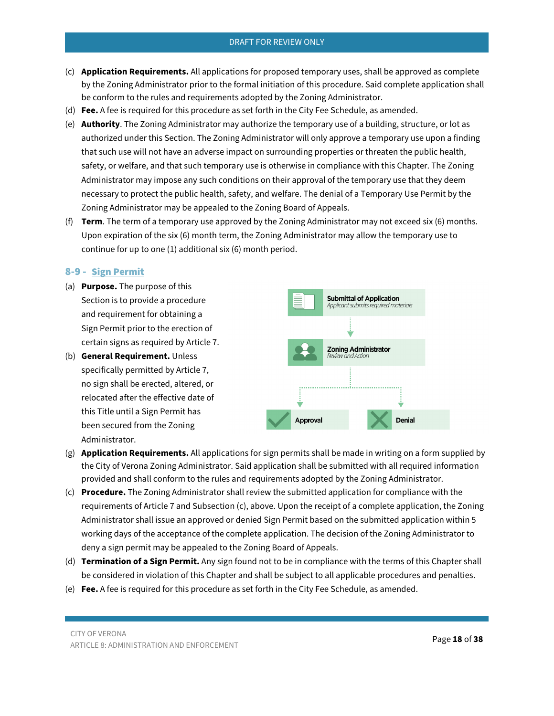- (c) **Application Requirements.** All applications for proposed temporary uses, shall be approved as complete by the Zoning Administrator prior to the formal initiation of this procedure. Said complete application shall be conform to the rules and requirements adopted by the Zoning Administrator.
- (d) **Fee.** A fee is required for this procedure as set forth in the City Fee Schedule, as amended.
- (e) **Authority**. The Zoning Administrator may authorize the temporary use of a building, structure, or lot as authorized under this Section. The Zoning Administrator will only approve a temporary use upon a finding that such use will not have an adverse impact on surrounding properties or threaten the public health, safety, or welfare, and that such temporary use is otherwise in compliance with this Chapter. The Zoning Administrator may impose any such conditions on their approval of the temporary use that they deem necessary to protect the public health, safety, and welfare. The denial of a Temporary Use Permit by the Zoning Administrator may be appealed to the Zoning Board of Appeals.
- (f) **Term**. The term of a temporary use approved by the Zoning Administrator may not exceed six (6) months. Upon expiration of the six (6) month term, the Zoning Administrator may allow the temporary use to continue for up to one (1) additional six (6) month period.

#### <span id="page-17-0"></span>8-9 - Sign Permit

- (a) **Purpose.** The purpose of this Section is to provide a procedure and requirement for obtaining a Sign Permit prior to the erection of certain signs as required by Article 7.
- (b) **General Requirement.** Unless specifically permitted by Article 7, no sign shall be erected, altered, or relocated after the effective date of this Title until a Sign Permit has been secured from the Zoning Administrator.



- (g) **Application Requirements.** All applications for sign permits shall be made in writing on a form supplied by the City of Verona Zoning Administrator. Said application shall be submitted with all required information provided and shall conform to the rules and requirements adopted by the Zoning Administrator.
- (c) **Procedure.** The Zoning Administrator shall review the submitted application for compliance with the requirements of Article 7 and Subsection (c), above. Upon the receipt of a complete application, the Zoning Administrator shall issue an approved or denied Sign Permit based on the submitted application within 5 working days of the acceptance of the complete application. The decision of the Zoning Administrator to deny a sign permit may be appealed to the Zoning Board of Appeals.
- (d) **Termination of a Sign Permit.** Any sign found not to be in compliance with the terms of this Chapter shall be considered in violation of this Chapter and shall be subject to all applicable procedures and penalties.
- (e) **Fee.** A fee is required for this procedure as set forth in the City Fee Schedule, as amended.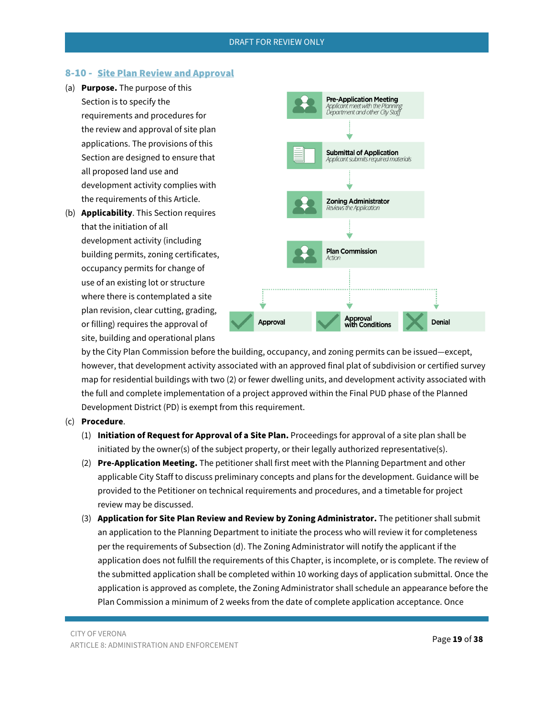## <span id="page-18-0"></span>8-10 - Site Plan Review and Approval

- (a) **Purpose.** The purpose of this Section is to specify the requirements and procedures for the review and approval of site plan applications. The provisions of this Section are designed to ensure that all proposed land use and development activity complies with the requirements of this Article.
- (b) **Applicability**. This Section requires that the initiation of all development activity (including building permits, zoning certificates, occupancy permits for change of use of an existing lot or structure where there is contemplated a site plan revision, clear cutting, grading, or filling) requires the approval of site, building and operational plans



by the City Plan Commission before the building, occupancy, and zoning permits can be issued—except, however, that development activity associated with an approved final plat of subdivision or certified survey map for residential buildings with two (2) or fewer dwelling units, and development activity associated with the full and complete implementation of a project approved within the Final PUD phase of the Planned Development District (PD) is exempt from this requirement.

#### (c) **Procedure**.

- (1) **Initiation of Request for Approval of a Site Plan.** Proceedings for approval of a site plan shall be initiated by the owner(s) of the subject property, or their legally authorized representative(s).
- (2) **Pre-Application Meeting.** The petitioner shall first meet with the Planning Department and other applicable City Staff to discuss preliminary concepts and plans for the development. Guidance will be provided to the Petitioner on technical requirements and procedures, and a timetable for project review may be discussed.
- (3) **Application for Site Plan Review and Review by Zoning Administrator.** The petitioner shall submit an application to the Planning Department to initiate the process who will review it for completeness per the requirements of Subsection (d). The Zoning Administrator will notify the applicant if the application does not fulfill the requirements of this Chapter, is incomplete, or is complete. The review of the submitted application shall be completed within 10 working days of application submittal. Once the application is approved as complete, the Zoning Administrator shall schedule an appearance before the Plan Commission a minimum of 2 weeks from the date of complete application acceptance. Once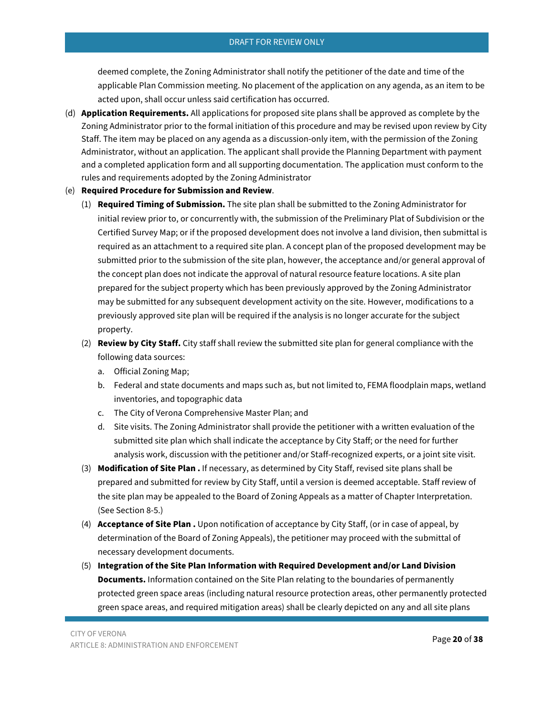deemed complete, the Zoning Administrator shall notify the petitioner of the date and time of the applicable Plan Commission meeting. No placement of the application on any agenda, as an item to be acted upon, shall occur unless said certification has occurred.

(d) **Application Requirements.** All applications for proposed site plans shall be approved as complete by the Zoning Administrator prior to the formal initiation of this procedure and may be revised upon review by City Staff. The item may be placed on any agenda as a discussion-only item, with the permission of the Zoning Administrator, without an application. The applicant shall provide the Planning Department with payment and a completed application form and all supporting documentation. The application must conform to the rules and requirements adopted by the Zoning Administrator

## (e) **Required Procedure for Submission and Review**.

- (1) **Required Timing of Submission.** The site plan shall be submitted to the Zoning Administrator for initial review prior to, or concurrently with, the submission of the Preliminary Plat of Subdivision or the Certified Survey Map; or if the proposed development does not involve a land division, then submittal is required as an attachment to a required site plan. A concept plan of the proposed development may be submitted prior to the submission of the site plan, however, the acceptance and/or general approval of the concept plan does not indicate the approval of natural resource feature locations. A site plan prepared for the subject property which has been previously approved by the Zoning Administrator may be submitted for any subsequent development activity on the site. However, modifications to a previously approved site plan will be required if the analysis is no longer accurate for the subject property.
- (2) **Review by City Staff.** City staff shall review the submitted site plan for general compliance with the following data sources:
	- a. Official Zoning Map;
	- b. Federal and state documents and maps such as, but not limited to, FEMA floodplain maps, wetland inventories, and topographic data
	- c. The City of Verona Comprehensive Master Plan; and
	- d. Site visits. The Zoning Administrator shall provide the petitioner with a written evaluation of the submitted site plan which shall indicate the acceptance by City Staff; or the need for further analysis work, discussion with the petitioner and/or Staff-recognized experts, or a joint site visit.
- (3) **Modification of Site Plan .** If necessary, as determined by City Staff, revised site plans shall be prepared and submitted for review by City Staff, until a version is deemed acceptable. Staff review of the site plan may be appealed to the Board of Zoning Appeals as a matter of Chapter Interpretation. (See Section 8-5.)
- (4) **Acceptance of Site Plan .** Upon notification of acceptance by City Staff, (or in case of appeal, by determination of the Board of Zoning Appeals), the petitioner may proceed with the submittal of necessary development documents.
- (5) **Integration of the Site Plan Information with Required Development and/or Land Division Documents.** Information contained on the Site Plan relating to the boundaries of permanently protected green space areas (including natural resource protection areas, other permanently protected green space areas, and required mitigation areas) shall be clearly depicted on any and all site plans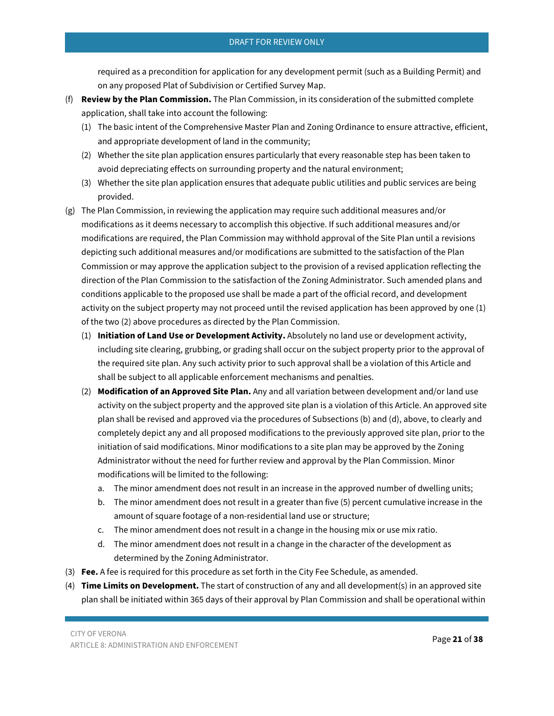required as a precondition for application for any development permit (such as a Building Permit) and on any proposed Plat of Subdivision or Certified Survey Map.

- (f) **Review by the Plan Commission.** The Plan Commission, in its consideration of the submitted complete application, shall take into account the following:
	- (1) The basic intent of the Comprehensive Master Plan and Zoning Ordinance to ensure attractive, efficient, and appropriate development of land in the community;
	- (2) Whether the site plan application ensures particularly that every reasonable step has been taken to avoid depreciating effects on surrounding property and the natural environment;
	- (3) Whether the site plan application ensures that adequate public utilities and public services are being provided.
- (g) The Plan Commission, in reviewing the application may require such additional measures and/or modifications as it deems necessary to accomplish this objective. If such additional measures and/or modifications are required, the Plan Commission may withhold approval of the Site Plan until a revisions depicting such additional measures and/or modifications are submitted to the satisfaction of the Plan Commission or may approve the application subject to the provision of a revised application reflecting the direction of the Plan Commission to the satisfaction of the Zoning Administrator. Such amended plans and conditions applicable to the proposed use shall be made a part of the official record, and development activity on the subject property may not proceed until the revised application has been approved by one (1) of the two (2) above procedures as directed by the Plan Commission.
	- (1) **Initiation of Land Use or Development Activity.** Absolutely no land use or development activity, including site clearing, grubbing, or grading shall occur on the subject property prior to the approval of the required site plan. Any such activity prior to such approval shall be a violation of this Article and shall be subject to all applicable enforcement mechanisms and penalties.
	- (2) **Modification of an Approved Site Plan.** Any and all variation between development and/or land use activity on the subject property and the approved site plan is a violation of this Article. An approved site plan shall be revised and approved via the procedures of Subsections (b) and (d), above, to clearly and completely depict any and all proposed modifications to the previously approved site plan, prior to the initiation of said modifications. Minor modifications to a site plan may be approved by the Zoning Administrator without the need for further review and approval by the Plan Commission. Minor modifications will be limited to the following:
		- a. The minor amendment does not result in an increase in the approved number of dwelling units;
		- b. The minor amendment does not result in a greater than five (5) percent cumulative increase in the amount of square footage of a non-residential land use or structure;
		- c. The minor amendment does not result in a change in the housing mix or use mix ratio.
		- d. The minor amendment does not result in a change in the character of the development as determined by the Zoning Administrator.
- (3) **Fee.** A fee is required for this procedure as set forth in the City Fee Schedule, as amended.
- (4) **Time Limits on Development.** The start of construction of any and all development(s) in an approved site plan shall be initiated within 365 days of their approval by Plan Commission and shall be operational within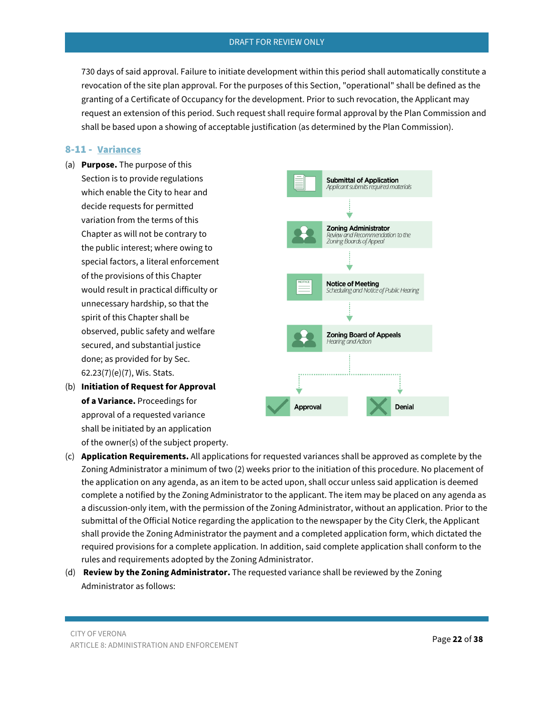730 days of said approval. Failure to initiate development within this period shall automatically constitute a revocation of the site plan approval. For the purposes of this Section, "operational" shall be defined as the granting of a Certificate of Occupancy for the development. Prior to such revocation, the Applicant may request an extension of this period. Such request shall require formal approval by the Plan Commission and shall be based upon a showing of acceptable justification (as determined by the Plan Commission).

## <span id="page-21-0"></span>8-11 - Variances

- (a) **Purpose.** The purpose of this Section is to provide regulations which enable the City to hear and decide requests for permitted variation from the terms of this Chapter as will not be contrary to the public interest; where owing to special factors, a literal enforcement of the provisions of this Chapter would result in practical difficulty or unnecessary hardship, so that the spirit of this Chapter shall be observed, public safety and welfare secured, and substantial justice done; as provided for by Sec. 62.23(7)(e)(7), Wis. Stats.
- (b) **Initiation of Request for Approval of a Variance.** Proceedings for approval of a requested variance shall be initiated by an application of the owner(s) of the subject property.



- (c) **Application Requirements.** All applications for requested variances shall be approved as complete by the Zoning Administrator a minimum of two (2) weeks prior to the initiation of this procedure. No placement of the application on any agenda, as an item to be acted upon, shall occur unless said application is deemed complete a notified by the Zoning Administrator to the applicant. The item may be placed on any agenda as a discussion-only item, with the permission of the Zoning Administrator, without an application. Prior to the submittal of the Official Notice regarding the application to the newspaper by the City Clerk, the Applicant shall provide the Zoning Administrator the payment and a completed application form, which dictated the required provisions for a complete application. In addition, said complete application shall conform to the rules and requirements adopted by the Zoning Administrator.
- (d) **Review by the Zoning Administrator.** The requested variance shall be reviewed by the Zoning Administrator as follows: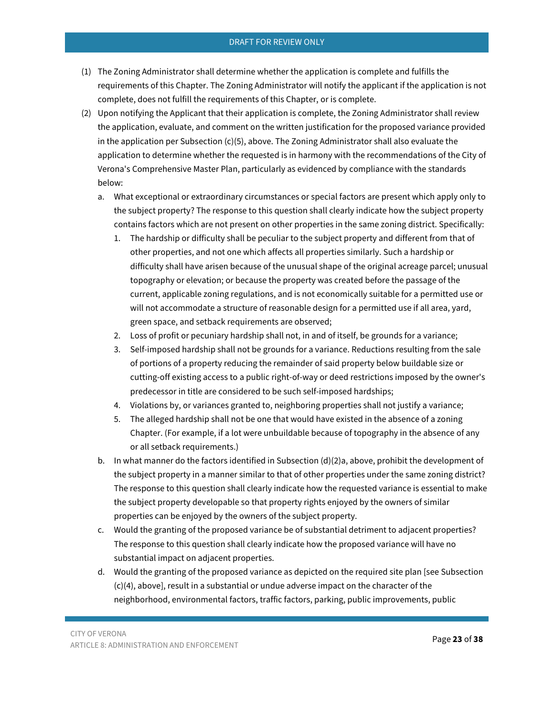- (1) The Zoning Administrator shall determine whether the application is complete and fulfills the requirements of this Chapter. The Zoning Administrator will notify the applicant if the application is not complete, does not fulfill the requirements of this Chapter, or is complete.
- (2) Upon notifying the Applicant that their application is complete, the Zoning Administrator shall review the application, evaluate, and comment on the written justification for the proposed variance provided in the application per Subsection (c)(5), above. The Zoning Administrator shall also evaluate the application to determine whether the requested is in harmony with the recommendations of the City of Verona's Comprehensive Master Plan, particularly as evidenced by compliance with the standards below:
	- a. What exceptional or extraordinary circumstances or special factors are present which apply only to the subject property? The response to this question shall clearly indicate how the subject property contains factors which are not present on other properties in the same zoning district. Specifically:
		- 1. The hardship or difficulty shall be peculiar to the subject property and different from that of other properties, and not one which affects all properties similarly. Such a hardship or difficulty shall have arisen because of the unusual shape of the original acreage parcel; unusual topography or elevation; or because the property was created before the passage of the current, applicable zoning regulations, and is not economically suitable for a permitted use or will not accommodate a structure of reasonable design for a permitted use if all area, yard, green space, and setback requirements are observed;
		- 2. Loss of profit or pecuniary hardship shall not, in and of itself, be grounds for a variance;
		- 3. Self-imposed hardship shall not be grounds for a variance. Reductions resulting from the sale of portions of a property reducing the remainder of said property below buildable size or cutting-off existing access to a public right-of-way or deed restrictions imposed by the owner's predecessor in title are considered to be such self-imposed hardships;
		- 4. Violations by, or variances granted to, neighboring properties shall not justify a variance;
		- 5. The alleged hardship shall not be one that would have existed in the absence of a zoning Chapter. (For example, if a lot were unbuildable because of topography in the absence of any or all setback requirements.)
	- b. In what manner do the factors identified in Subsection (d)(2)a, above, prohibit the development of the subject property in a manner similar to that of other properties under the same zoning district? The response to this question shall clearly indicate how the requested variance is essential to make the subject property developable so that property rights enjoyed by the owners of similar properties can be enjoyed by the owners of the subject property.
	- c. Would the granting of the proposed variance be of substantial detriment to adjacent properties? The response to this question shall clearly indicate how the proposed variance will have no substantial impact on adjacent properties.
	- d. Would the granting of the proposed variance as depicted on the required site plan [see Subsection (c)(4), above], result in a substantial or undue adverse impact on the character of the neighborhood, environmental factors, traffic factors, parking, public improvements, public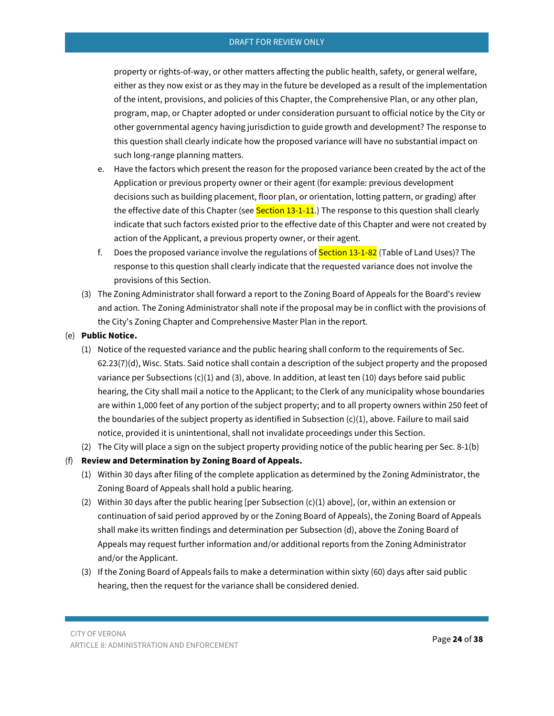property or rights-of-way, or other matters affecting the public health, safety, or general welfare, either as they now exist or as they may in the future be developed as a result of the implementation of the intent, provisions, and policies of this Chapter, the Comprehensive Plan, or any other plan, program, map, or Chapter adopted or under consideration pursuant to official notice by the City or other governmental agency having jurisdiction to guide growth and development? The response to this question shall clearly indicate how the proposed variance will have no substantial impact on such long-range planning matters.

- e. Have the factors which present the reason for the proposed variance been created by the act of the Application or previous property owner or their agent (for example: previous development decisions such as building placement, floor plan, or orientation, lotting pattern, or grading) after the effective date of this Chapter (see **Section 13-1-11**.) The response to this question shall clearly indicate that such factors existed prior to the effective date of this Chapter and were not created by action of the Applicant, a previous property owner, or their agent.
- f. Does the proposed variance involve the regulations of **Section 13-1-82** (Table of Land Uses)? The response to this question shall clearly indicate that the requested variance does not involve the provisions of this Section.
- (3) The Zoning Administrator shall forward a report to the Zoning Board of Appeals for the Board's review and action. The Zoning Administrator shall note if the proposal may be in conflict with the provisions of the City's Zoning Chapter and Comprehensive Master Plan in the report.

#### (e) **Public Notice.**

- (1) Notice of the requested variance and the public hearing shall conform to the requirements of Sec. 62.23(7)(d), Wisc. Stats. Said notice shall contain a description of the subject property and the proposed variance per Subsections (c)(1) and (3), above. In addition, at least ten (10) days before said public hearing, the City shall mail a notice to the Applicant; to the Clerk of any municipality whose boundaries are within 1,000 feet of any portion of the subject property; and to all property owners within 250 feet of the boundaries of the subject property as identified in Subsection (c)(1), above. Failure to mail said notice, provided it is unintentional, shall not invalidate proceedings under this Section.
- (2) The City will place a sign on the subject property providing notice of the public hearing per Sec. 8-1(b)

## (f) **Review and Determination by Zoning Board of Appeals.**

- (1) Within 30 days after filing of the complete application as determined by the Zoning Administrator, the Zoning Board of Appeals shall hold a public hearing.
- (2) Within 30 days after the public hearing [per Subsection (c)(1) above], (or, within an extension or continuation of said period approved by or the Zoning Board of Appeals), the Zoning Board of Appeals shall make its written findings and determination per Subsection (d), above the Zoning Board of Appeals may request further information and/or additional reports from the Zoning Administrator and/or the Applicant.
- (3) If the Zoning Board of Appeals fails to make a determination within sixty (60) days after said public hearing, then the request for the variance shall be considered denied.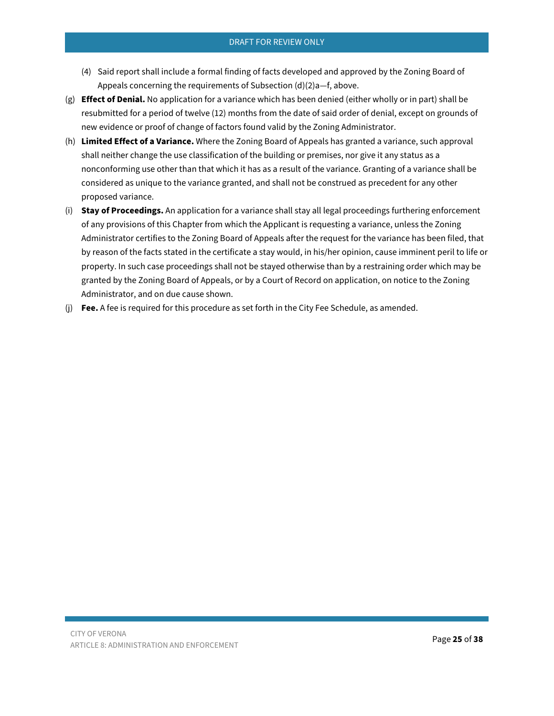- (4) Said report shall include a formal finding of facts developed and approved by the Zoning Board of Appeals concerning the requirements of Subsection (d)(2)a—f, above.
- (g) **Effect of Denial.** No application for a variance which has been denied (either wholly or in part) shall be resubmitted for a period of twelve (12) months from the date of said order of denial, except on grounds of new evidence or proof of change of factors found valid by the Zoning Administrator.
- (h) **Limited Effect of a Variance.** Where the Zoning Board of Appeals has granted a variance, such approval shall neither change the use classification of the building or premises, nor give it any status as a nonconforming use other than that which it has as a result of the variance. Granting of a variance shall be considered as unique to the variance granted, and shall not be construed as precedent for any other proposed variance.
- (i) **Stay of Proceedings.** An application for a variance shall stay all legal proceedings furthering enforcement of any provisions of this Chapter from which the Applicant is requesting a variance, unless the Zoning Administrator certifies to the Zoning Board of Appeals after the request for the variance has been filed, that by reason of the facts stated in the certificate a stay would, in his/her opinion, cause imminent peril to life or property. In such case proceedings shall not be stayed otherwise than by a restraining order which may be granted by the Zoning Board of Appeals, or by a Court of Record on application, on notice to the Zoning Administrator, and on due cause shown.
- <span id="page-24-0"></span>(j) **Fee.** A fee is required for this procedure as set forth in the City Fee Schedule, as amended.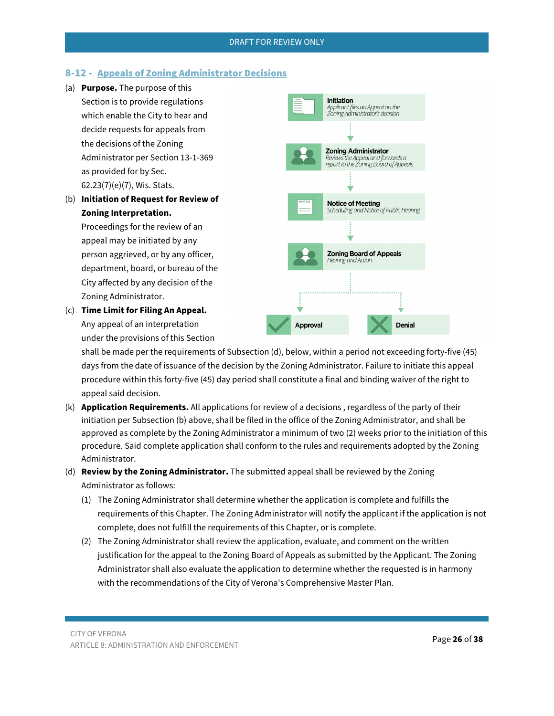# 8-12 - Appeals of Zoning Administrator Decisions

- (a) **Purpose.** The purpose of this Section is to provide regulations which enable the City to hear and decide requests for appeals from the decisions of the Zoning Administrator per Section 13-1-369 as provided for by Sec. 62.23(7)(e)(7), Wis. Stats.
- (b) **Initiation of Request for Review of Zoning Interpretation.**

Proceedings for the review of an appeal may be initiated by any person aggrieved, or by any officer, department, board, or bureau of the City affected by any decision of the Zoning Administrator.

(c) **Time Limit for Filing An Appeal.** Any appeal of an interpretation under the provisions of this Section



shall be made per the requirements of Subsection (d), below, within a period not exceeding forty-five (45) days from the date of issuance of the decision by the Zoning Administrator. Failure to initiate this appeal procedure within this forty-five (45) day period shall constitute a final and binding waiver of the right to appeal said decision.

- (k) **Application Requirements.** All applications for review of a decisions , regardless of the party of their initiation per Subsection (b) above, shall be filed in the office of the Zoning Administrator, and shall be approved as complete by the Zoning Administrator a minimum of two (2) weeks prior to the initiation of this procedure. Said complete application shall conform to the rules and requirements adopted by the Zoning Administrator.
- (d) **Review by the Zoning Administrator.** The submitted appeal shall be reviewed by the Zoning Administrator as follows:
	- (1) The Zoning Administrator shall determine whether the application is complete and fulfills the requirements of this Chapter. The Zoning Administrator will notify the applicant if the application is not complete, does not fulfill the requirements of this Chapter, or is complete.
	- (2) The Zoning Administrator shall review the application, evaluate, and comment on the written justification for the appeal to the Zoning Board of Appeals as submitted by the Applicant. The Zoning Administrator shall also evaluate the application to determine whether the requested is in harmony with the recommendations of the City of Verona's Comprehensive Master Plan.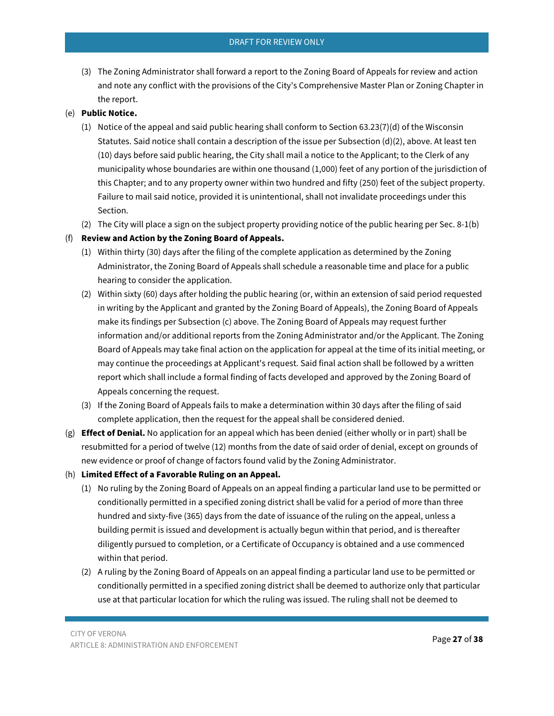(3) The Zoning Administrator shall forward a report to the Zoning Board of Appeals for review and action and note any conflict with the provisions of the City's Comprehensive Master Plan or Zoning Chapter in the report.

#### (e) **Public Notice.**

- (1) Notice of the appeal and said public hearing shall conform to Section 63.23(7)(d) of the Wisconsin Statutes. Said notice shall contain a description of the issue per Subsection (d)(2), above. At least ten (10) days before said public hearing, the City shall mail a notice to the Applicant; to the Clerk of any municipality whose boundaries are within one thousand (1,000) feet of any portion of the jurisdiction of this Chapter; and to any property owner within two hundred and fifty (250) feet of the subject property. Failure to mail said notice, provided it is unintentional, shall not invalidate proceedings under this Section.
- (2) The City will place a sign on the subject property providing notice of the public hearing per Sec. 8-1(b)

## (f) **Review and Action by the Zoning Board of Appeals.**

- (1) Within thirty (30) days after the filing of the complete application as determined by the Zoning Administrator, the Zoning Board of Appeals shall schedule a reasonable time and place for a public hearing to consider the application.
- (2) Within sixty (60) days after holding the public hearing (or, within an extension of said period requested in writing by the Applicant and granted by the Zoning Board of Appeals), the Zoning Board of Appeals make its findings per Subsection (c) above. The Zoning Board of Appeals may request further information and/or additional reports from the Zoning Administrator and/or the Applicant. The Zoning Board of Appeals may take final action on the application for appeal at the time of its initial meeting, or may continue the proceedings at Applicant's request. Said final action shall be followed by a written report which shall include a formal finding of facts developed and approved by the Zoning Board of Appeals concerning the request.
- (3) If the Zoning Board of Appeals fails to make a determination within 30 days after the filing of said complete application, then the request for the appeal shall be considered denied.
- (g) **Effect of Denial.** No application for an appeal which has been denied (either wholly or in part) shall be resubmitted for a period of twelve (12) months from the date of said order of denial, except on grounds of new evidence or proof of change of factors found valid by the Zoning Administrator.
- (h) **Limited Effect of a Favorable Ruling on an Appeal.** 
	- (1) No ruling by the Zoning Board of Appeals on an appeal finding a particular land use to be permitted or conditionally permitted in a specified zoning district shall be valid for a period of more than three hundred and sixty-five (365) days from the date of issuance of the ruling on the appeal, unless a building permit is issued and development is actually begun within that period, and is thereafter diligently pursued to completion, or a Certificate of Occupancy is obtained and a use commenced within that period.
	- (2) A ruling by the Zoning Board of Appeals on an appeal finding a particular land use to be permitted or conditionally permitted in a specified zoning district shall be deemed to authorize only that particular use at that particular location for which the ruling was issued. The ruling shall not be deemed to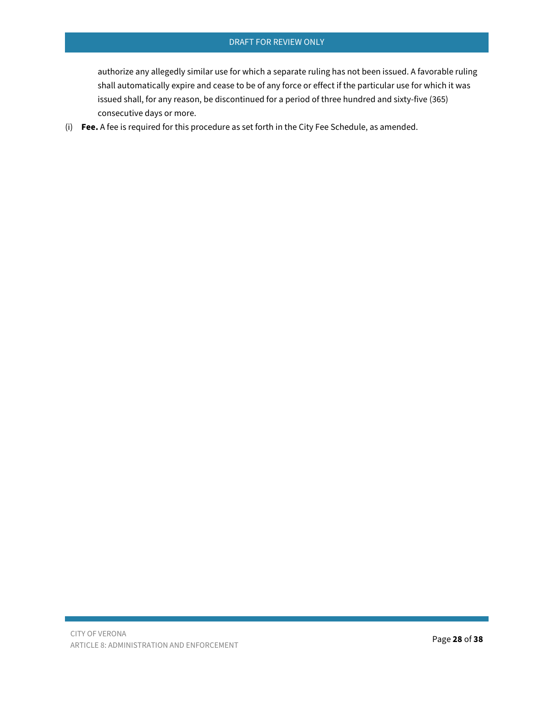authorize any allegedly similar use for which a separate ruling has not been issued. A favorable ruling shall automatically expire and cease to be of any force or effect if the particular use for which it was issued shall, for any reason, be discontinued for a period of three hundred and sixty-five (365) consecutive days or more.

(i) **Fee.** A fee is required for this procedure as set forth in the City Fee Schedule, as amended.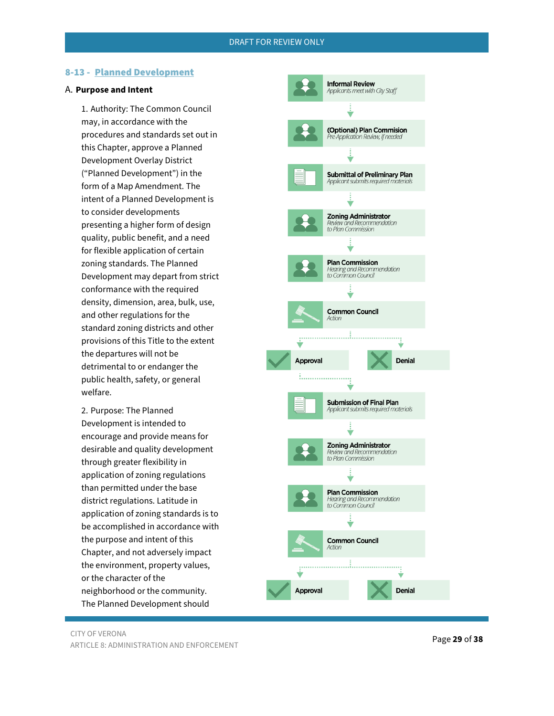#### <span id="page-28-0"></span>8-13 - Planned Development

#### A. **Purpose and Intent**

1. Authority: The Common Council may, in accordance with the procedures and standards set out in this Chapter, approve a Planned Development Overlay District ("Planned Development") in the form of a Map Amendment. The intent of a Planned Development is to consider developments presenting a higher form of design quality, public benefit, and a need for flexible application of certain zoning standards. The Planned Development may depart from strict conformance with the required density, dimension, area, bulk, use, and other regulations for the standard zoning districts and other provisions of this Title to the extent the departures will not be detrimental to or endanger the public health, safety, or general welfare.

2. Purpose: The Planned Development is intended to encourage and provide means for desirable and quality development through greater flexibility in application of zoning regulations than permitted under the base district regulations. Latitude in application of zoning standards is to be accomplished in accordance with the purpose and intent of this Chapter, and not adversely impact the environment, property values, or the character of the neighborhood or the community. The Planned Development should

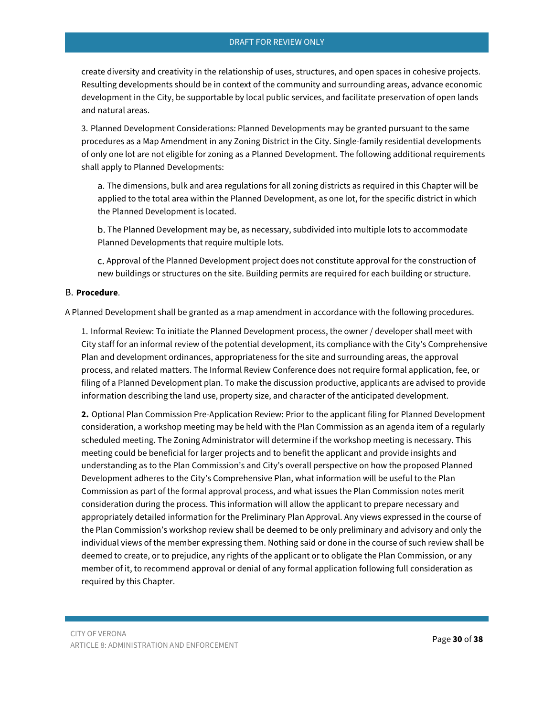create diversity and creativity in the relationship of uses, structures, and open spaces in cohesive projects. Resulting developments should be in context of the community and surrounding areas, advance economic development in the City, be supportable by local public services, and facilitate preservation of open lands and natural areas.

3. Planned Development Considerations: Planned Developments may be granted pursuant to the same procedures as a Map Amendment in any Zoning District in the City. Single-family residential developments of only one lot are not eligible for zoning as a Planned Development. The following additional requirements shall apply to Planned Developments:

a. The dimensions, bulk and area regulations for all zoning districts as required in this Chapter will be applied to the total area within the Planned Development, as one lot, for the specific district in which the Planned Development is located.

b. The Planned Development may be, as necessary, subdivided into multiple lots to accommodate Planned Developments that require multiple lots.

Approval of the Planned Development project does not constitute approval for the construction of new buildings or structures on the site. Building permits are required for each building or structure.

#### B. **Procedure**.

A Planned Development shall be granted as a map amendment in accordance with the following procedures.

1. Informal Review: To initiate the Planned Development process, the owner / developer shall meet with City staff for an informal review of the potential development, its compliance with the City's Comprehensive Plan and development ordinances, appropriateness for the site and surrounding areas, the approval process, and related matters. The Informal Review Conference does not require formal application, fee, or filing of a Planned Development plan. To make the discussion productive, applicants are advised to provide information describing the land use, property size, and character of the anticipated development.

**2.** Optional Plan Commission Pre-Application Review: Prior to the applicant filing for Planned Development consideration, a workshop meeting may be held with the Plan Commission as an agenda item of a regularly scheduled meeting. The Zoning Administrator will determine if the workshop meeting is necessary. This meeting could be beneficial for larger projects and to benefit the applicant and provide insights and understanding as to the Plan Commission's and City's overall perspective on how the proposed Planned Development adheres to the City's Comprehensive Plan, what information will be useful to the Plan Commission as part of the formal approval process, and what issues the Plan Commission notes merit consideration during the process. This information will allow the applicant to prepare necessary and appropriately detailed information for the Preliminary Plan Approval. Any views expressed in the course of the Plan Commission's workshop review shall be deemed to be only preliminary and advisory and only the individual views of the member expressing them. Nothing said or done in the course of such review shall be deemed to create, or to prejudice, any rights of the applicant or to obligate the Plan Commission, or any member of it, to recommend approval or denial of any formal application following full consideration as required by this Chapter.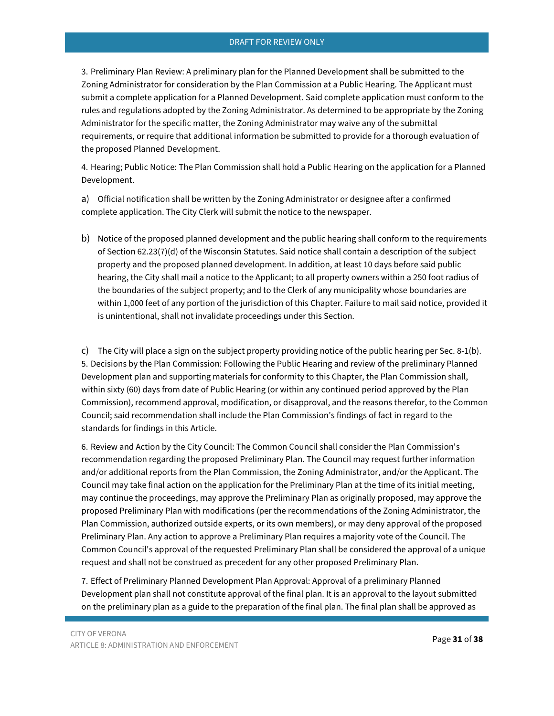3. Preliminary Plan Review: A preliminary plan for the Planned Development shall be submitted to the Zoning Administrator for consideration by the Plan Commission at a Public Hearing. The Applicant must submit a complete application for a Planned Development. Said complete application must conform to the rules and regulations adopted by the Zoning Administrator. As determined to be appropriate by the Zoning Administrator for the specific matter, the Zoning Administrator may waive any of the submittal requirements, or require that additional information be submitted to provide for a thorough evaluation of the proposed Planned Development.

4. Hearing; Public Notice: The Plan Commission shall hold a Public Hearing on the application for a Planned Development.

a) Official notification shall be written by the Zoning Administrator or designee after a confirmed complete application. The City Clerk will submit the notice to the newspaper.

b) Notice of the proposed planned development and the public hearing shall conform to the requirements of Section 62.23(7)(d) of the Wisconsin Statutes. Said notice shall contain a description of the subject property and the proposed planned development. In addition, at least 10 days before said public hearing, the City shall mail a notice to the Applicant; to all property owners within a 250 foot radius of the boundaries of the subject property; and to the Clerk of any municipality whose boundaries are within 1,000 feet of any portion of the jurisdiction of this Chapter. Failure to mail said notice, provided it is unintentional, shall not invalidate proceedings under this Section.

c) The City will place a sign on the subject property providing notice of the public hearing per Sec. 8-1(b). 5. Decisions by the Plan Commission: Following the Public Hearing and review of the preliminary Planned Development plan and supporting materials for conformity to this Chapter, the Plan Commission shall, within sixty (60) days from date of Public Hearing (or within any continued period approved by the Plan Commission), recommend approval, modification, or disapproval, and the reasons therefor, to the Common Council; said recommendation shall include the Plan Commission's findings of fact in regard to the standards for findings in this Article.

6. Review and Action by the City Council: The Common Council shall consider the Plan Commission's recommendation regarding the proposed Preliminary Plan. The Council may request further information and/or additional reports from the Plan Commission, the Zoning Administrator, and/or the Applicant. The Council may take final action on the application for the Preliminary Plan at the time of its initial meeting, may continue the proceedings, may approve the Preliminary Plan as originally proposed, may approve the proposed Preliminary Plan with modifications (per the recommendations of the Zoning Administrator, the Plan Commission, authorized outside experts, or its own members), or may deny approval of the proposed Preliminary Plan. Any action to approve a Preliminary Plan requires a majority vote of the Council. The Common Council's approval of the requested Preliminary Plan shall be considered the approval of a unique request and shall not be construed as precedent for any other proposed Preliminary Plan.

7. Effect of Preliminary Planned Development Plan Approval: Approval of a preliminary Planned Development plan shall not constitute approval of the final plan. It is an approval to the layout submitted on the preliminary plan as a guide to the preparation of the final plan. The final plan shall be approved as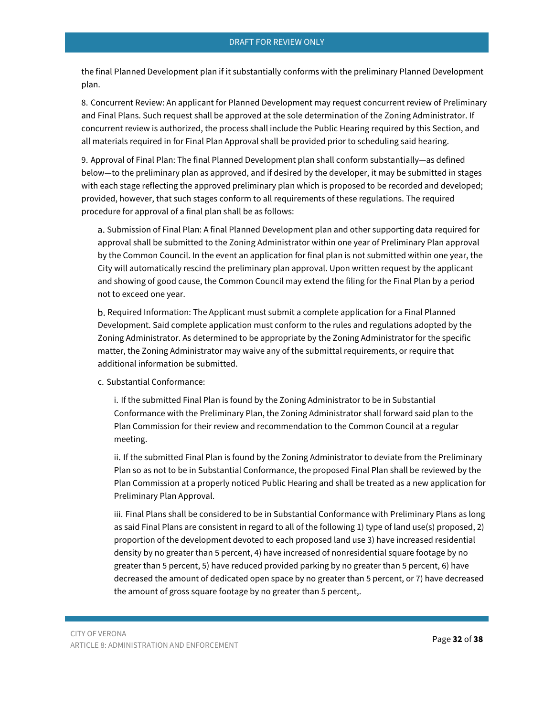the final Planned Development plan if it substantially conforms with the preliminary Planned Development plan.

8. Concurrent Review: An applicant for Planned Development may request concurrent review of Preliminary and Final Plans. Such request shall be approved at the sole determination of the Zoning Administrator. If concurrent review is authorized, the process shall include the Public Hearing required by this Section, and all materials required in for Final Plan Approval shall be provided prior to scheduling said hearing.

9. Approval of Final Plan: The final Planned Development plan shall conform substantially—as defined below—to the preliminary plan as approved, and if desired by the developer, it may be submitted in stages with each stage reflecting the approved preliminary plan which is proposed to be recorded and developed; provided, however, that such stages conform to all requirements of these regulations. The required procedure for approval of a final plan shall be as follows:

a. Submission of Final Plan: A final Planned Development plan and other supporting data required for approval shall be submitted to the Zoning Administrator within one year of Preliminary Plan approval by the Common Council. In the event an application for final plan is not submitted within one year, the City will automatically rescind the preliminary plan approval. Upon written request by the applicant and showing of good cause, the Common Council may extend the filing for the Final Plan by a period not to exceed one year.

b. Required Information: The Applicant must submit a complete application for a Final Planned Development. Said complete application must conform to the rules and regulations adopted by the Zoning Administrator. As determined to be appropriate by the Zoning Administrator for the specific matter, the Zoning Administrator may waive any of the submittal requirements, or require that additional information be submitted.

c. Substantial Conformance:

i. If the submitted Final Plan is found by the Zoning Administrator to be in Substantial Conformance with the Preliminary Plan, the Zoning Administrator shall forward said plan to the Plan Commission for their review and recommendation to the Common Council at a regular meeting.

ii. If the submitted Final Plan is found by the Zoning Administrator to deviate from the Preliminary Plan so as not to be in Substantial Conformance, the proposed Final Plan shall be reviewed by the Plan Commission at a properly noticed Public Hearing and shall be treated as a new application for Preliminary Plan Approval.

iii. Final Plans shall be considered to be in Substantial Conformance with Preliminary Plans as long as said Final Plans are consistent in regard to all of the following 1) type of land use(s) proposed, 2) proportion of the development devoted to each proposed land use 3) have increased residential density by no greater than 5 percent, 4) have increased of nonresidential square footage by no greater than 5 percent, 5) have reduced provided parking by no greater than 5 percent, 6) have decreased the amount of dedicated open space by no greater than 5 percent, or 7) have decreased the amount of gross square footage by no greater than 5 percent,.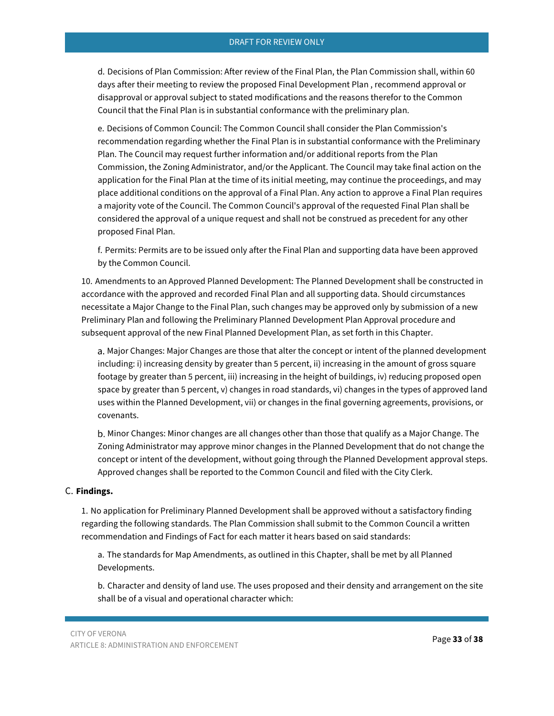d. Decisions of Plan Commission: After review of the Final Plan, the Plan Commission shall, within 60 days after their meeting to review the proposed Final Development Plan , recommend approval or disapproval or approval subject to stated modifications and the reasons therefor to the Common Council that the Final Plan is in substantial conformance with the preliminary plan.

e. Decisions of Common Council: The Common Council shall consider the Plan Commission's recommendation regarding whether the Final Plan is in substantial conformance with the Preliminary Plan. The Council may request further information and/or additional reports from the Plan Commission, the Zoning Administrator, and/or the Applicant. The Council may take final action on the application for the Final Plan at the time of its initial meeting, may continue the proceedings, and may place additional conditions on the approval of a Final Plan. Any action to approve a Final Plan requires a majority vote of the Council. The Common Council's approval of the requested Final Plan shall be considered the approval of a unique request and shall not be construed as precedent for any other proposed Final Plan.

f. Permits: Permits are to be issued only after the Final Plan and supporting data have been approved by the Common Council.

10. Amendments to an Approved Planned Development: The Planned Development shall be constructed in accordance with the approved and recorded Final Plan and all supporting data. Should circumstances necessitate a Major Change to the Final Plan, such changes may be approved only by submission of a new Preliminary Plan and following the Preliminary Planned Development Plan Approval procedure and subsequent approval of the new Final Planned Development Plan, as set forth in this Chapter.

a. Major Changes: Major Changes are those that alter the concept or intent of the planned development including: i) increasing density by greater than 5 percent, ii) increasing in the amount of gross square footage by greater than 5 percent, iii) increasing in the height of buildings, iv) reducing proposed open space by greater than 5 percent, v) changes in road standards, vi) changes in the types of approved land uses within the Planned Development, vii) or changes in the final governing agreements, provisions, or covenants.

b. Minor Changes: Minor changes are all changes other than those that qualify as a Major Change. The Zoning Administrator may approve minor changes in the Planned Development that do not change the concept or intent of the development, without going through the Planned Development approval steps. Approved changes shall be reported to the Common Council and filed with the City Clerk.

#### C. **Findings.**

1. No application for Preliminary Planned Development shall be approved without a satisfactory finding regarding the following standards. The Plan Commission shall submit to the Common Council a written recommendation and Findings of Fact for each matter it hears based on said standards:

a. The standards for Map Amendments, as outlined in this Chapter, shall be met by all Planned Developments.

b. Character and density of land use. The uses proposed and their density and arrangement on the site shall be of a visual and operational character which: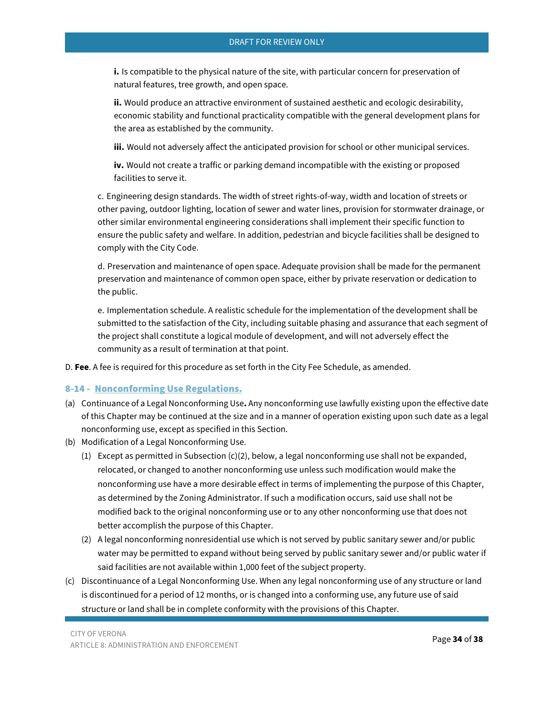**i.** Is compatible to the physical nature of the site, with particular concern for preservation of natural features, tree growth, and open space.

**ii.** Would produce an attractive environment of sustained aesthetic and ecologic desirability, economic stability and functional practicality compatible with the general development plans for the area as established by the community.

**iii.** Would not adversely affect the anticipated provision for school or other municipal services.

**iv.** Would not create a traffic or parking demand incompatible with the existing or proposed facilities to serve it.

c. Engineering design standards. The width of street rights-of-way, width and location of streets or other paving, outdoor lighting, location of sewer and water lines, provision for stormwater drainage, or other similar environmental engineering considerations shall implement their specific function to ensure the public safety and welfare. In addition, pedestrian and bicycle facilities shall be designed to comply with the City Code.

d. Preservation and maintenance of open space. Adequate provision shall be made for the permanent preservation and maintenance of common open space, either by private reservation or dedication to the public.

e. Implementation schedule. A realistic schedule for the implementation of the development shall be submitted to the satisfaction of the City, including suitable phasing and assurance that each segment of the project shall constitute a logical module of development, and will not adversely effect the community as a result of termination at that point.

D. **Fee**. A fee is required for this procedure as set forth in the City Fee Schedule, as amended.

## <span id="page-33-0"></span>8-14 - Nonconforming Use Regulations.

- (a) Continuance of a Legal Nonconforming Use**.** Any nonconforming use lawfully existing upon the effective date of this Chapter may be continued at the size and in a manner of operation existing upon such date as a legal nonconforming use, except as specified in this Section.
- (b) Modification of a Legal Nonconforming Use.
	- (1) Except as permitted in Subsection  $(c)(2)$ , below, a legal nonconforming use shall not be expanded, relocated, or changed to another nonconforming use unless such modification would make the nonconforming use have a more desirable effect in terms of implementing the purpose of this Chapter, as determined by the Zoning Administrator. If such a modification occurs, said use shall not be modified back to the original nonconforming use or to any other nonconforming use that does not better accomplish the purpose of this Chapter.
	- (2) A legal nonconforming nonresidential use which is not served by public sanitary sewer and/or public water may be permitted to expand without being served by public sanitary sewer and/or public water if said facilities are not available within 1,000 feet of the subject property.
- (c) Discontinuance of a Legal Nonconforming Use. When any legal nonconforming use of any structure or land is discontinued for a period of 12 months, or is changed into a conforming use, any future use of said structure or land shall be in complete conformity with the provisions of this Chapter.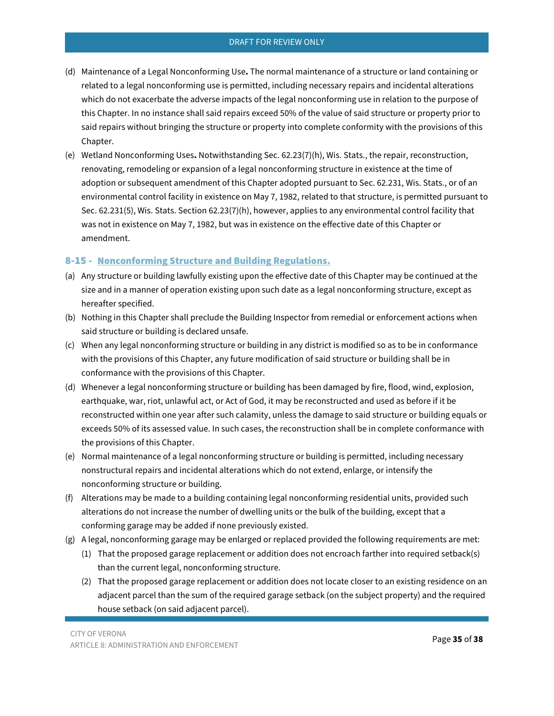- (d) Maintenance of a Legal Nonconforming Use**.** The normal maintenance of a structure or land containing or related to a legal nonconforming use is permitted, including necessary repairs and incidental alterations which do not exacerbate the adverse impacts of the legal nonconforming use in relation to the purpose of this Chapter. In no instance shall said repairs exceed 50% of the value of said structure or property prior to said repairs without bringing the structure or property into complete conformity with the provisions of this Chapter.
- (e) Wetland Nonconforming Uses**.** Notwithstanding Sec. 62.23(7)(h), Wis. Stats., the repair, reconstruction, renovating, remodeling or expansion of a legal nonconforming structure in existence at the time of adoption or subsequent amendment of this Chapter adopted pursuant to Sec. 62.231, Wis. Stats., or of an environmental control facility in existence on May 7, 1982, related to that structure, is permitted pursuant to Sec. 62.231(5), Wis. Stats. Section 62.23(7)(h), however, applies to any environmental control facility that was not in existence on May 7, 1982, but was in existence on the effective date of this Chapter or amendment.

## <span id="page-34-0"></span>8-15 - Nonconforming Structure and Building Regulations.

- (a) Any structure or building lawfully existing upon the effective date of this Chapter may be continued at the size and in a manner of operation existing upon such date as a legal nonconforming structure, except as hereafter specified.
- (b) Nothing in this Chapter shall preclude the Building Inspector from remedial or enforcement actions when said structure or building is declared unsafe.
- (c) When any legal nonconforming structure or building in any district is modified so as to be in conformance with the provisions of this Chapter, any future modification of said structure or building shall be in conformance with the provisions of this Chapter.
- (d) Whenever a legal nonconforming structure or building has been damaged by fire, flood, wind, explosion, earthquake, war, riot, unlawful act, or Act of God, it may be reconstructed and used as before if it be reconstructed within one year after such calamity, unless the damage to said structure or building equals or exceeds 50% of its assessed value. In such cases, the reconstruction shall be in complete conformance with the provisions of this Chapter.
- (e) Normal maintenance of a legal nonconforming structure or building is permitted, including necessary nonstructural repairs and incidental alterations which do not extend, enlarge, or intensify the nonconforming structure or building.
- (f) Alterations may be made to a building containing legal nonconforming residential units, provided such alterations do not increase the number of dwelling units or the bulk of the building, except that a conforming garage may be added if none previously existed.
- (g) A legal, nonconforming garage may be enlarged or replaced provided the following requirements are met:
	- (1) That the proposed garage replacement or addition does not encroach farther into required setback(s) than the current legal, nonconforming structure.
	- (2) That the proposed garage replacement or addition does not locate closer to an existing residence on an adjacent parcel than the sum of the required garage setback (on the subject property) and the required house setback (on said adjacent parcel).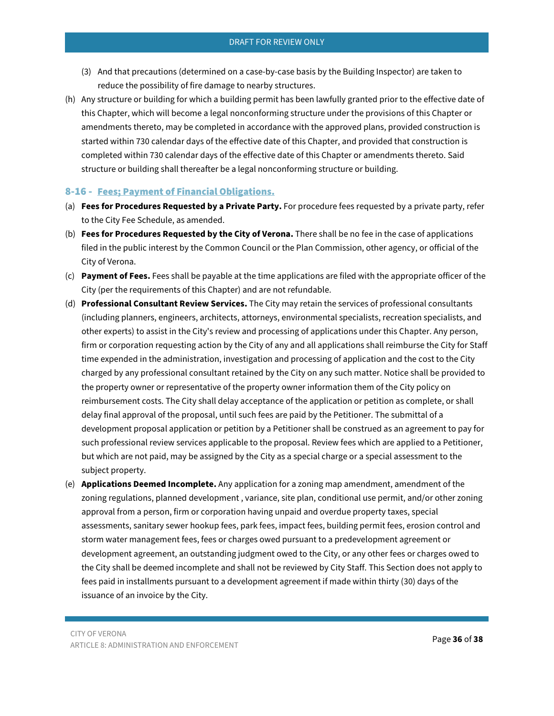- (3) And that precautions (determined on a case-by-case basis by the Building Inspector) are taken to reduce the possibility of fire damage to nearby structures.
- (h) Any structure or building for which a building permit has been lawfully granted prior to the effective date of this Chapter, which will become a legal nonconforming structure under the provisions of this Chapter or amendments thereto, may be completed in accordance with the approved plans, provided construction is started within 730 calendar days of the effective date of this Chapter, and provided that construction is completed within 730 calendar days of the effective date of this Chapter or amendments thereto. Said structure or building shall thereafter be a legal nonconforming structure or building.

## <span id="page-35-0"></span>8-16 - Fees; Payment of Financial Obligations.

- (a) **Fees for Procedures Requested by a Private Party.** For procedure fees requested by a private party, refer to the City Fee Schedule, as amended.
- (b) **Fees for Procedures Requested by the City of Verona.** There shall be no fee in the case of applications filed in the public interest by the Common Council or the Plan Commission, other agency, or official of the City of Verona.
- (c) **Payment of Fees.** Fees shall be payable at the time applications are filed with the appropriate officer of the City (per the requirements of this Chapter) and are not refundable.
- (d) **Professional Consultant Review Services.** The City may retain the services of professional consultants (including planners, engineers, architects, attorneys, environmental specialists, recreation specialists, and other experts) to assist in the City's review and processing of applications under this Chapter. Any person, firm or corporation requesting action by the City of any and all applications shall reimburse the City for Staff time expended in the administration, investigation and processing of application and the cost to the City charged by any professional consultant retained by the City on any such matter. Notice shall be provided to the property owner or representative of the property owner information them of the City policy on reimbursement costs. The City shall delay acceptance of the application or petition as complete, or shall delay final approval of the proposal, until such fees are paid by the Petitioner. The submittal of a development proposal application or petition by a Petitioner shall be construed as an agreement to pay for such professional review services applicable to the proposal. Review fees which are applied to a Petitioner, but which are not paid, may be assigned by the City as a special charge or a special assessment to the subject property.
- (e) **Applications Deemed Incomplete.** Any application for a zoning map amendment, amendment of the zoning regulations, planned development , variance, site plan, conditional use permit, and/or other zoning approval from a person, firm or corporation having unpaid and overdue property taxes, special assessments, sanitary sewer hookup fees, park fees, impact fees, building permit fees, erosion control and storm water management fees, fees or charges owed pursuant to a predevelopment agreement or development agreement, an outstanding judgment owed to the City, or any other fees or charges owed to the City shall be deemed incomplete and shall not be reviewed by City Staff. This Section does not apply to fees paid in installments pursuant to a development agreement if made within thirty (30) days of the issuance of an invoice by the City.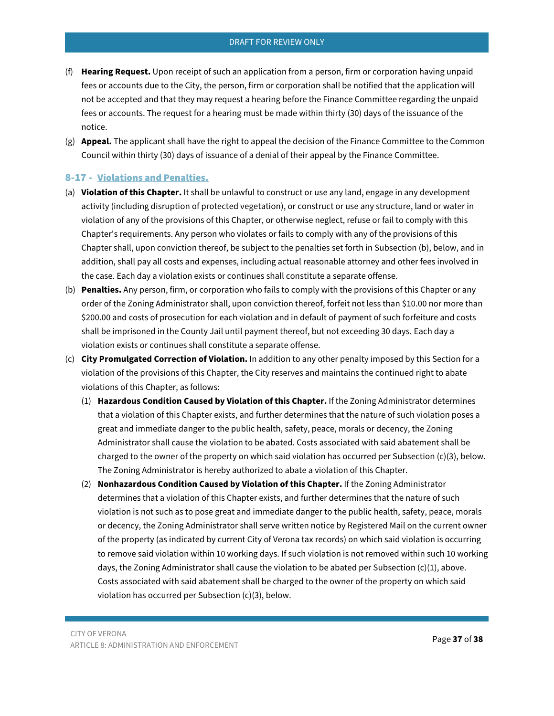- (f) **Hearing Request.** Upon receipt of such an application from a person, firm or corporation having unpaid fees or accounts due to the City, the person, firm or corporation shall be notified that the application will not be accepted and that they may request a hearing before the Finance Committee regarding the unpaid fees or accounts. The request for a hearing must be made within thirty (30) days of the issuance of the notice.
- (g) **Appeal.** The applicant shall have the right to appeal the decision of the Finance Committee to the Common Council within thirty (30) days of issuance of a denial of their appeal by the Finance Committee.

## <span id="page-36-0"></span>8-17 - Violations and Penalties.

- (a) **Violation of this Chapter.** It shall be unlawful to construct or use any land, engage in any development activity (including disruption of protected vegetation), or construct or use any structure, land or water in violation of any of the provisions of this Chapter, or otherwise neglect, refuse or fail to comply with this Chapter's requirements. Any person who violates or fails to comply with any of the provisions of this Chapter shall, upon conviction thereof, be subject to the penalties set forth in Subsection (b), below, and in addition, shall pay all costs and expenses, including actual reasonable attorney and other fees involved in the case. Each day a violation exists or continues shall constitute a separate offense.
- (b) **Penalties.** Any person, firm, or corporation who fails to comply with the provisions of this Chapter or any order of the Zoning Administrator shall, upon conviction thereof, forfeit not less than \$10.00 nor more than \$200.00 and costs of prosecution for each violation and in default of payment of such forfeiture and costs shall be imprisoned in the County Jail until payment thereof, but not exceeding 30 days. Each day a violation exists or continues shall constitute a separate offense.
- (c) **City Promulgated Correction of Violation.** In addition to any other penalty imposed by this Section for a violation of the provisions of this Chapter, the City reserves and maintains the continued right to abate violations of this Chapter, as follows:
	- (1) **Hazardous Condition Caused by Violation of this Chapter.** If the Zoning Administrator determines that a violation of this Chapter exists, and further determines that the nature of such violation poses a great and immediate danger to the public health, safety, peace, morals or decency, the Zoning Administrator shall cause the violation to be abated. Costs associated with said abatement shall be charged to the owner of the property on which said violation has occurred per Subsection (c)(3), below. The Zoning Administrator is hereby authorized to abate a violation of this Chapter.
	- (2) **Nonhazardous Condition Caused by Violation of this Chapter.** If the Zoning Administrator determines that a violation of this Chapter exists, and further determines that the nature of such violation is not such as to pose great and immediate danger to the public health, safety, peace, morals or decency, the Zoning Administrator shall serve written notice by Registered Mail on the current owner of the property (as indicated by current City of Verona tax records) on which said violation is occurring to remove said violation within 10 working days. If such violation is not removed within such 10 working days, the Zoning Administrator shall cause the violation to be abated per Subsection (c)(1), above. Costs associated with said abatement shall be charged to the owner of the property on which said violation has occurred per Subsection (c)(3), below.